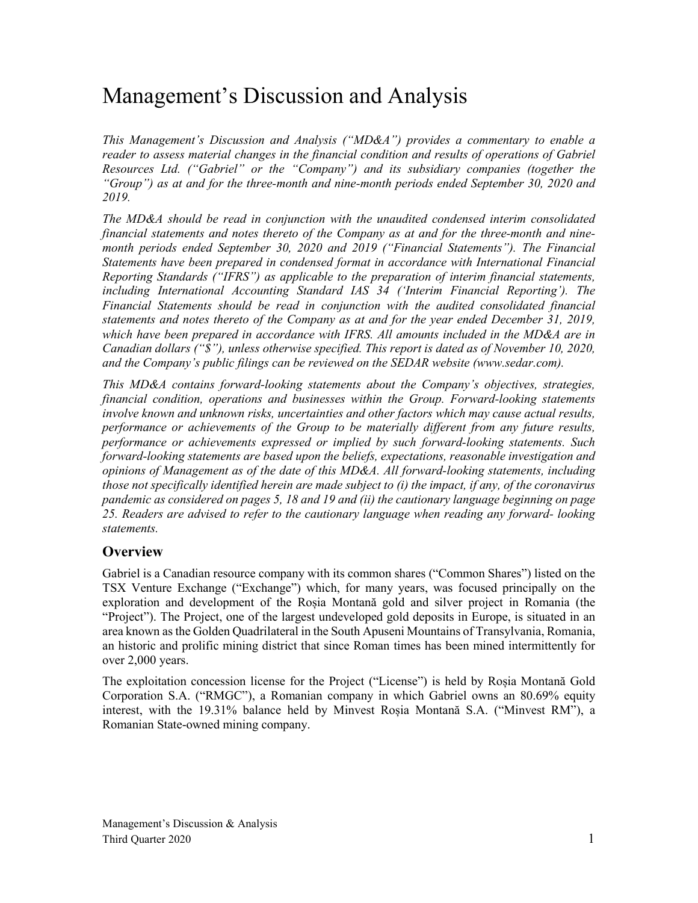# Management's Discussion and Analysis

*This Management's Discussion and Analysis ("MD&A") provides a commentary to enable a reader to assess material changes in the financial condition and results of operations of Gabriel Resources Ltd. ("Gabriel" or the "Company") and its subsidiary companies (together the "Group") as at and for the three-month and nine-month periods ended September 30, 2020 and 2019.*

*The MD&A should be read in conjunction with the unaudited condensed interim consolidated financial statements and notes thereto of the Company as at and for the three-month and ninemonth periods ended September 30, 2020 and 2019 ("Financial Statements"). The Financial Statements have been prepared in condensed format in accordance with International Financial Reporting Standards ("IFRS") as applicable to the preparation of interim financial statements, including International Accounting Standard IAS 34 ('Interim Financial Reporting'). The Financial Statements should be read in conjunction with the audited consolidated financial statements and notes thereto of the Company as at and for the year ended December 31, 2019, which have been prepared in accordance with IFRS. All amounts included in the MD&A are in Canadian dollars ("\$"), unless otherwise specified. This report is dated as of November 10, 2020, and the Company's public filings can be reviewed on the SEDAR website (www.sedar.com).*

*This MD&A contains forward-looking statements about the Company's objectives, strategies, financial condition, operations and businesses within the Group. Forward-looking statements involve known and unknown risks, uncertainties and other factors which may cause actual results, performance or achievements of the Group to be materially different from any future results, performance or achievements expressed or implied by such forward-looking statements. Such forward-looking statements are based upon the beliefs, expectations, reasonable investigation and opinions of Management as of the date of this MD&A. All forward-looking statements, including those not specifically identified herein are made subject to (i) the impact, if any, of the coronavirus pandemic as considered on pages 5, 18 and 19 and (ii) the cautionary language beginning on page 25. Readers are advised to refer to the cautionary language when reading any forward- looking statements.*

### **Overview**

Gabriel is a Canadian resource company with its common shares ("Common Shares") listed on the TSX Venture Exchange ("Exchange") which, for many years, was focused principally on the exploration and development of the Roșia Montană gold and silver project in Romania (the "Project"). The Project, one of the largest undeveloped gold deposits in Europe, is situated in an area known as the Golden Quadrilateral in the South Apuseni Mountains of Transylvania, Romania, an historic and prolific mining district that since Roman times has been mined intermittently for over 2,000 years.

The exploitation concession license for the Project ("License") is held by Roșia Montană Gold Corporation S.A. ("RMGC"), a Romanian company in which Gabriel owns an 80.69% equity interest, with the 19.31% balance held by Minvest Roșia Montană S.A. ("Minvest RM"), a Romanian State-owned mining company.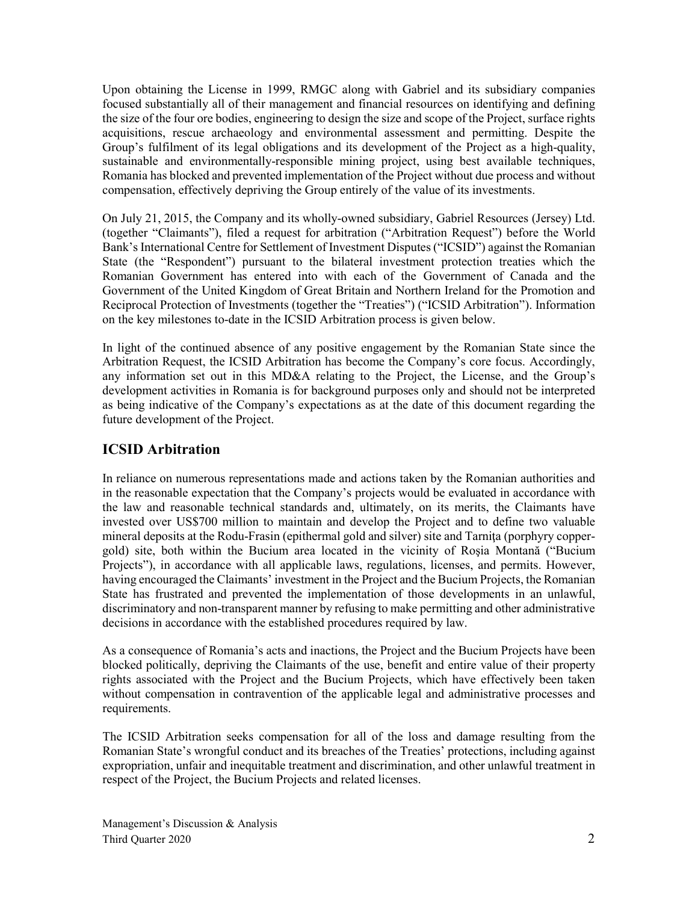Upon obtaining the License in 1999, RMGC along with Gabriel and its subsidiary companies focused substantially all of their management and financial resources on identifying and defining the size of the four ore bodies, engineering to design the size and scope of the Project, surface rights acquisitions, rescue archaeology and environmental assessment and permitting. Despite the Group's fulfilment of its legal obligations and its development of the Project as a high-quality, sustainable and environmentally-responsible mining project, using best available techniques, Romania has blocked and prevented implementation of the Project without due process and without compensation, effectively depriving the Group entirely of the value of its investments.

On July 21, 2015, the Company and its wholly-owned subsidiary, Gabriel Resources (Jersey) Ltd. (together "Claimants"), filed a request for arbitration ("Arbitration Request") before the World Bank's International Centre for Settlement of Investment Disputes ("ICSID") against the Romanian State (the "Respondent") pursuant to the bilateral investment protection treaties which the Romanian Government has entered into with each of the Government of Canada and the Government of the United Kingdom of Great Britain and Northern Ireland for the Promotion and Reciprocal Protection of Investments (together the "Treaties") ("ICSID Arbitration"). Information on the key milestones to-date in the ICSID Arbitration process is given below.

In light of the continued absence of any positive engagement by the Romanian State since the Arbitration Request, the ICSID Arbitration has become the Company's core focus. Accordingly, any information set out in this MD&A relating to the Project, the License, and the Group's development activities in Romania is for background purposes only and should not be interpreted as being indicative of the Company's expectations as at the date of this document regarding the future development of the Project.

## **ICSID Arbitration**

In reliance on numerous representations made and actions taken by the Romanian authorities and in the reasonable expectation that the Company's projects would be evaluated in accordance with the law and reasonable technical standards and, ultimately, on its merits, the Claimants have invested over US\$700 million to maintain and develop the Project and to define two valuable mineral deposits at the Rodu-Frasin (epithermal gold and silver) site and Tarnita (porphyry coppergold) site, both within the Bucium area located in the vicinity of Roşia Montană ("Bucium Projects"), in accordance with all applicable laws, regulations, licenses, and permits. However, having encouraged the Claimants' investment in the Project and the Bucium Projects, the Romanian State has frustrated and prevented the implementation of those developments in an unlawful, discriminatory and non-transparent manner by refusing to make permitting and other administrative decisions in accordance with the established procedures required by law.

As a consequence of Romania's acts and inactions, the Project and the Bucium Projects have been blocked politically, depriving the Claimants of the use, benefit and entire value of their property rights associated with the Project and the Bucium Projects, which have effectively been taken without compensation in contravention of the applicable legal and administrative processes and requirements.

The ICSID Arbitration seeks compensation for all of the loss and damage resulting from the Romanian State's wrongful conduct and its breaches of the Treaties' protections, including against expropriation, unfair and inequitable treatment and discrimination, and other unlawful treatment in respect of the Project, the Bucium Projects and related licenses.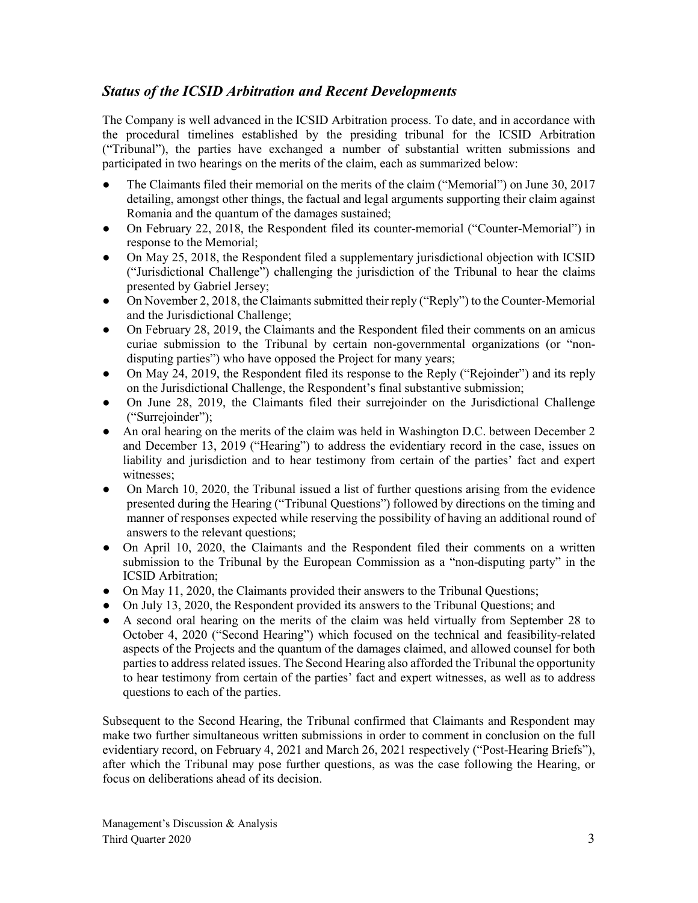## *Status of the ICSID Arbitration and Recent Developments*

The Company is well advanced in the ICSID Arbitration process. To date, and in accordance with the procedural timelines established by the presiding tribunal for the ICSID Arbitration ("Tribunal"), the parties have exchanged a number of substantial written submissions and participated in two hearings on the merits of the claim, each as summarized below:

- The Claimants filed their memorial on the merits of the claim ("Memorial") on June 30, 2017 detailing, amongst other things, the factual and legal arguments supporting their claim against Romania and the quantum of the damages sustained;
- On February 22, 2018, the Respondent filed its counter-memorial ("Counter-Memorial") in response to the Memorial;
- On May 25, 2018, the Respondent filed a supplementary jurisdictional objection with ICSID ("Jurisdictional Challenge") challenging the jurisdiction of the Tribunal to hear the claims presented by Gabriel Jersey;
- On November 2, 2018, the Claimants submitted their reply ("Reply") to the Counter-Memorial and the Jurisdictional Challenge;
- On February 28, 2019, the Claimants and the Respondent filed their comments on an amicus curiae submission to the Tribunal by certain non-governmental organizations (or "nondisputing parties") who have opposed the Project for many years;
- On May 24, 2019, the Respondent filed its response to the Reply ("Rejoinder") and its reply on the Jurisdictional Challenge, the Respondent's final substantive submission;
- On June 28, 2019, the Claimants filed their surrejoinder on the Jurisdictional Challenge ("Surrejoinder");
- An oral hearing on the merits of the claim was held in Washington D.C. between December 2 and December 13, 2019 ("Hearing") to address the evidentiary record in the case, issues on liability and jurisdiction and to hear testimony from certain of the parties' fact and expert witnesses;
- On March 10, 2020, the Tribunal issued a list of further questions arising from the evidence presented during the Hearing ("Tribunal Questions") followed by directions on the timing and manner of responses expected while reserving the possibility of having an additional round of answers to the relevant questions;
- On April 10, 2020, the Claimants and the Respondent filed their comments on a written submission to the Tribunal by the European Commission as a "non-disputing party" in the ICSID Arbitration;
- On May 11, 2020, the Claimants provided their answers to the Tribunal Questions;
- On July 13, 2020, the Respondent provided its answers to the Tribunal Questions; and
- A second oral hearing on the merits of the claim was held virtually from September 28 to October 4, 2020 ("Second Hearing") which focused on the technical and feasibility-related aspects of the Projects and the quantum of the damages claimed, and allowed counsel for both parties to address related issues. The Second Hearing also afforded the Tribunal the opportunity to hear testimony from certain of the parties' fact and expert witnesses, as well as to address questions to each of the parties.

Subsequent to the Second Hearing, the Tribunal confirmed that Claimants and Respondent may make two further simultaneous written submissions in order to comment in conclusion on the full evidentiary record, on February 4, 2021 and March 26, 2021 respectively ("Post-Hearing Briefs"), after which the Tribunal may pose further questions, as was the case following the Hearing, or focus on deliberations ahead of its decision.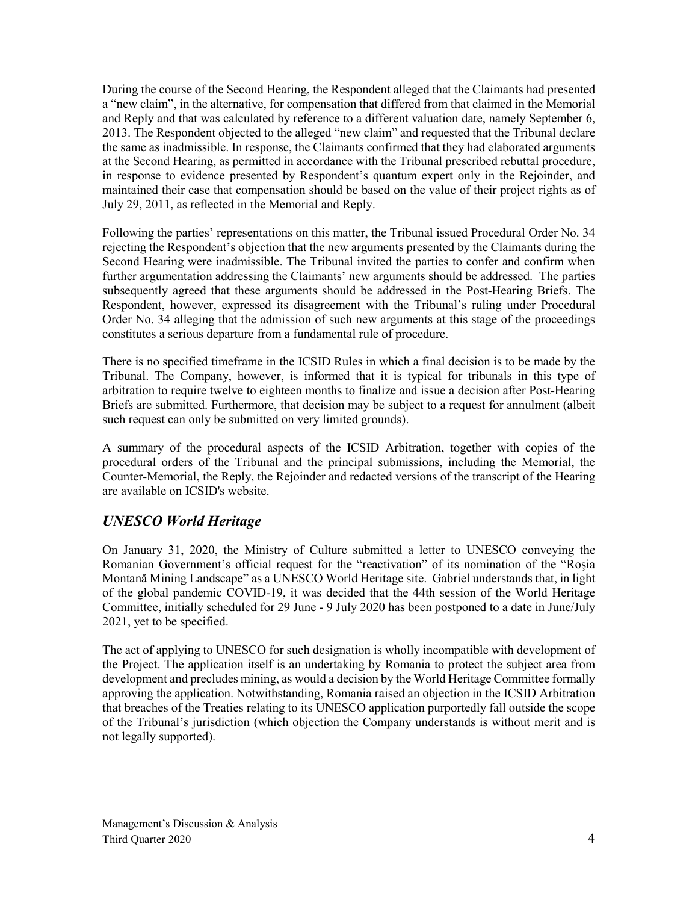During the course of the Second Hearing, the Respondent alleged that the Claimants had presented a "new claim", in the alternative, for compensation that differed from that claimed in the Memorial and Reply and that was calculated by reference to a different valuation date, namely September 6, 2013. The Respondent objected to the alleged "new claim" and requested that the Tribunal declare the same as inadmissible. In response, the Claimants confirmed that they had elaborated arguments at the Second Hearing, as permitted in accordance with the Tribunal prescribed rebuttal procedure, in response to evidence presented by Respondent's quantum expert only in the Rejoinder, and maintained their case that compensation should be based on the value of their project rights as of July 29, 2011, as reflected in the Memorial and Reply.

Following the parties' representations on this matter, the Tribunal issued Procedural Order No. 34 rejecting the Respondent's objection that the new arguments presented by the Claimants during the Second Hearing were inadmissible. The Tribunal invited the parties to confer and confirm when further argumentation addressing the Claimants' new arguments should be addressed. The parties subsequently agreed that these arguments should be addressed in the Post-Hearing Briefs. The Respondent, however, expressed its disagreement with the Tribunal's ruling under Procedural Order No. 34 alleging that the admission of such new arguments at this stage of the proceedings constitutes a serious departure from a fundamental rule of procedure.

There is no specified timeframe in the ICSID Rules in which a final decision is to be made by the Tribunal. The Company, however, is informed that it is typical for tribunals in this type of arbitration to require twelve to eighteen months to finalize and issue a decision after Post-Hearing Briefs are submitted. Furthermore, that decision may be subject to a request for annulment (albeit such request can only be submitted on very limited grounds).

A summary of the procedural aspects of the ICSID Arbitration, together with copies of the procedural orders of the Tribunal and the principal submissions, including the Memorial, the Counter-Memorial, the Reply, the Rejoinder and redacted versions of the transcript of the Hearing are available on ICSID's website.

## *UNESCO World Heritage*

On January 31, 2020, the Ministry of Culture submitted a letter to UNESCO conveying the Romanian Government's official request for the "reactivation" of its nomination of the "Roşia Montană Mining Landscape" as a UNESCO World Heritage site. Gabriel understands that, in light of the global pandemic COVID-19, it was decided that the 44th session of the World Heritage Committee, initially scheduled for 29 June - 9 July 2020 has been postponed to a date in June/July 2021, yet to be specified.

The act of applying to UNESCO for such designation is wholly incompatible with development of the Project. The application itself is an undertaking by Romania to protect the subject area from development and precludes mining, as would a decision by the World Heritage Committee formally approving the application. Notwithstanding, Romania raised an objection in the ICSID Arbitration that breaches of the Treaties relating to its UNESCO application purportedly fall outside the scope of the Tribunal's jurisdiction (which objection the Company understands is without merit and is not legally supported).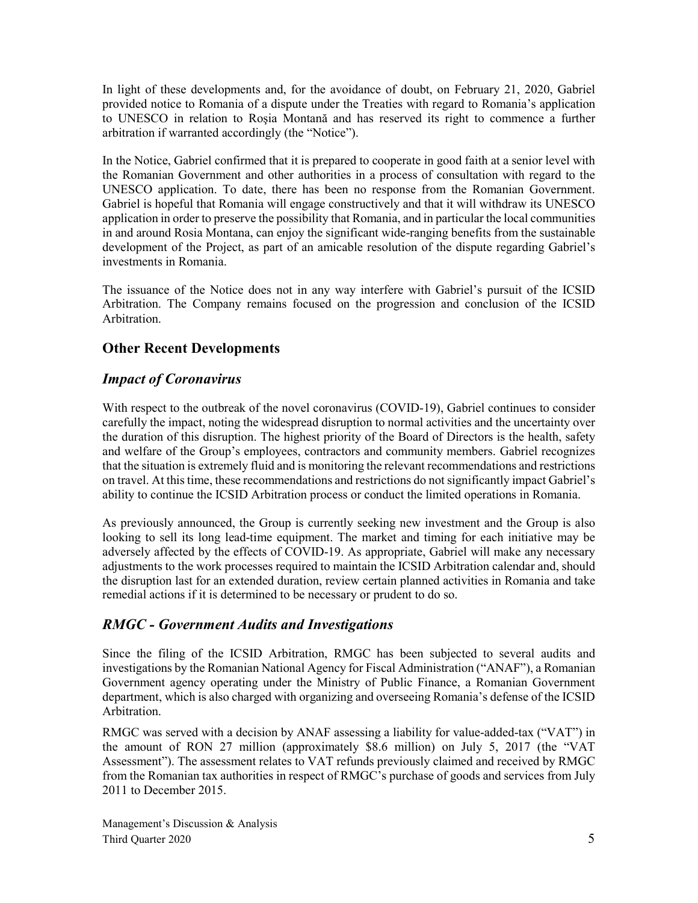In light of these developments and, for the avoidance of doubt, on February 21, 2020, Gabriel provided notice to Romania of a dispute under the Treaties with regard to Romania's application to UNESCO in relation to Roşia Montană and has reserved its right to commence a further arbitration if warranted accordingly (the "Notice").

In the Notice, Gabriel confirmed that it is prepared to cooperate in good faith at a senior level with the Romanian Government and other authorities in a process of consultation with regard to the UNESCO application. To date, there has been no response from the Romanian Government. Gabriel is hopeful that Romania will engage constructively and that it will withdraw its UNESCO application in order to preserve the possibility that Romania, and in particular the local communities in and around Rosia Montana, can enjoy the significant wide-ranging benefits from the sustainable development of the Project, as part of an amicable resolution of the dispute regarding Gabriel's investments in Romania.

The issuance of the Notice does not in any way interfere with Gabriel's pursuit of the ICSID Arbitration. The Company remains focused on the progression and conclusion of the ICSID Arbitration.

## **Other Recent Developments**

## *Impact of Coronavirus*

With respect to the outbreak of the novel coronavirus (COVID-19), Gabriel continues to consider carefully the impact, noting the widespread disruption to normal activities and the uncertainty over the duration of this disruption. The highest priority of the Board of Directors is the health, safety and welfare of the Group's employees, contractors and community members. Gabriel recognizes that the situation is extremely fluid and is monitoring the relevant recommendations and restrictions on travel. At this time, these recommendations and restrictions do not significantly impact Gabriel's ability to continue the ICSID Arbitration process or conduct the limited operations in Romania.

As previously announced, the Group is currently seeking new investment and the Group is also looking to sell its long lead-time equipment. The market and timing for each initiative may be adversely affected by the effects of COVID-19. As appropriate, Gabriel will make any necessary adjustments to the work processes required to maintain the ICSID Arbitration calendar and, should the disruption last for an extended duration, review certain planned activities in Romania and take remedial actions if it is determined to be necessary or prudent to do so.

## *RMGC - Government Audits and Investigations*

Since the filing of the ICSID Arbitration, RMGC has been subjected to several audits and investigations by the Romanian National Agency for Fiscal Administration ("ANAF"), a Romanian Government agency operating under the Ministry of Public Finance, a Romanian Government department, which is also charged with organizing and overseeing Romania's defense of the ICSID Arbitration.

RMGC was served with a decision by ANAF assessing a liability for value-added-tax ("VAT") in the amount of RON 27 million (approximately \$8.6 million) on July 5, 2017 (the "VAT Assessment"). The assessment relates to VAT refunds previously claimed and received by RMGC from the Romanian tax authorities in respect of RMGC's purchase of goods and services from July 2011 to December 2015.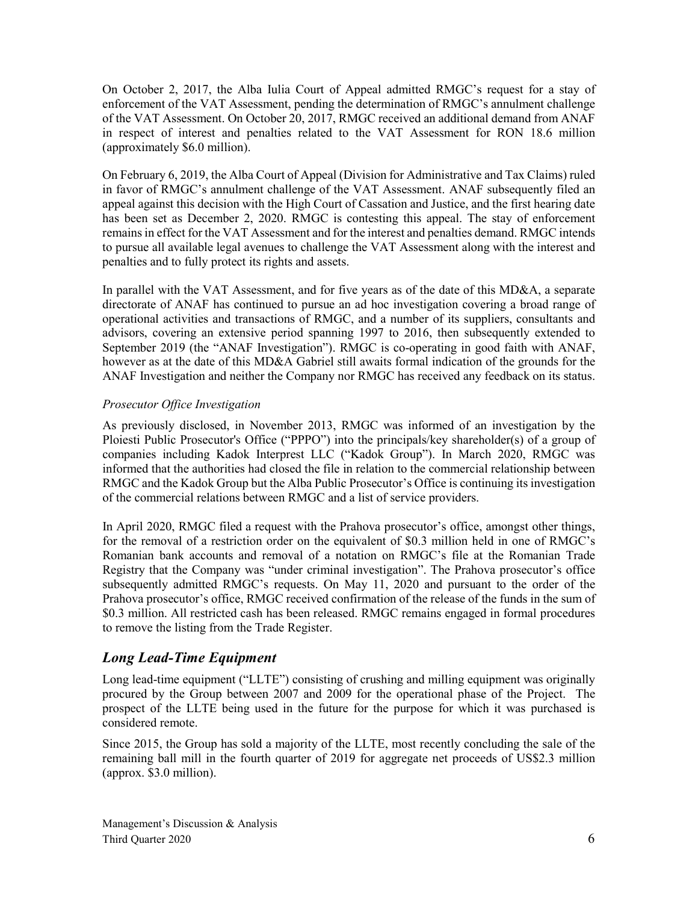On October 2, 2017, the Alba Iulia Court of Appeal admitted RMGC's request for a stay of enforcement of the VAT Assessment, pending the determination of RMGC's annulment challenge of the VAT Assessment. On October 20, 2017, RMGC received an additional demand from ANAF in respect of interest and penalties related to the VAT Assessment for RON 18.6 million (approximately \$6.0 million).

On February 6, 2019, the Alba Court of Appeal (Division for Administrative and Tax Claims) ruled in favor of RMGC's annulment challenge of the VAT Assessment. ANAF subsequently filed an appeal against this decision with the High Court of Cassation and Justice, and the first hearing date has been set as December 2, 2020. RMGC is contesting this appeal. The stay of enforcement remains in effect for the VAT Assessment and for the interest and penalties demand. RMGC intends to pursue all available legal avenues to challenge the VAT Assessment along with the interest and penalties and to fully protect its rights and assets.

In parallel with the VAT Assessment, and for five years as of the date of this MD&A, a separate directorate of ANAF has continued to pursue an ad hoc investigation covering a broad range of operational activities and transactions of RMGC, and a number of its suppliers, consultants and advisors, covering an extensive period spanning 1997 to 2016, then subsequently extended to September 2019 (the "ANAF Investigation"). RMGC is co-operating in good faith with ANAF, however as at the date of this MD&A Gabriel still awaits formal indication of the grounds for the ANAF Investigation and neither the Company nor RMGC has received any feedback on its status.

#### *Prosecutor Office Investigation*

As previously disclosed, in November 2013, RMGC was informed of an investigation by the Ploiesti Public Prosecutor's Office ("PPPO") into the principals/key shareholder(s) of a group of companies including Kadok Interprest LLC ("Kadok Group"). In March 2020, RMGC was informed that the authorities had closed the file in relation to the commercial relationship between RMGC and the Kadok Group but the Alba Public Prosecutor's Office is continuing its investigation of the commercial relations between RMGC and a list of service providers.

In April 2020, RMGC filed a request with the Prahova prosecutor's office, amongst other things, for the removal of a restriction order on the equivalent of \$0.3 million held in one of RMGC's Romanian bank accounts and removal of a notation on RMGC's file at the Romanian Trade Registry that the Company was "under criminal investigation". The Prahova prosecutor's office subsequently admitted RMGC's requests. On May 11, 2020 and pursuant to the order of the Prahova prosecutor's office, RMGC received confirmation of the release of the funds in the sum of \$0.3 million. All restricted cash has been released. RMGC remains engaged in formal procedures to remove the listing from the Trade Register.

## *Long Lead-Time Equipment*

Long lead-time equipment ("LLTE") consisting of crushing and milling equipment was originally procured by the Group between 2007 and 2009 for the operational phase of the Project. The prospect of the LLTE being used in the future for the purpose for which it was purchased is considered remote.

Since 2015, the Group has sold a majority of the LLTE, most recently concluding the sale of the remaining ball mill in the fourth quarter of 2019 for aggregate net proceeds of US\$2.3 million (approx. \$3.0 million).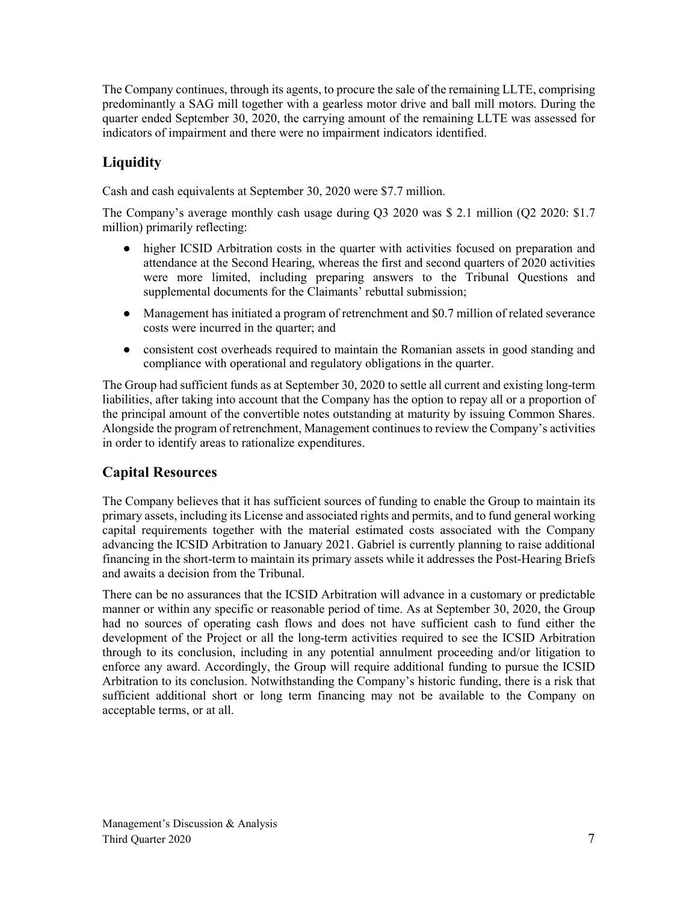The Company continues, through its agents, to procure the sale of the remaining LLTE, comprising predominantly a SAG mill together with a gearless motor drive and ball mill motors. During the quarter ended September 30, 2020, the carrying amount of the remaining LLTE was assessed for indicators of impairment and there were no impairment indicators identified.

## **Liquidity**

Cash and cash equivalents at September 30, 2020 were \$7.7 million.

The Company's average monthly cash usage during Q3 2020 was \$ 2.1 million (Q2 2020: \$1.7 million) primarily reflecting:

- higher ICSID Arbitration costs in the quarter with activities focused on preparation and attendance at the Second Hearing, whereas the first and second quarters of 2020 activities were more limited, including preparing answers to the Tribunal Questions and supplemental documents for the Claimants' rebuttal submission;
- Management has initiated a program of retrenchment and \$0.7 million of related severance costs were incurred in the quarter; and
- consistent cost overheads required to maintain the Romanian assets in good standing and compliance with operational and regulatory obligations in the quarter.

The Group had sufficient funds as at September 30, 2020 to settle all current and existing long-term liabilities, after taking into account that the Company has the option to repay all or a proportion of the principal amount of the convertible notes outstanding at maturity by issuing Common Shares. Alongside the program of retrenchment, Management continues to review the Company's activities in order to identify areas to rationalize expenditures.

## **Capital Resources**

The Company believes that it has sufficient sources of funding to enable the Group to maintain its primary assets, including its License and associated rights and permits, and to fund general working capital requirements together with the material estimated costs associated with the Company advancing the ICSID Arbitration to January 2021. Gabriel is currently planning to raise additional financing in the short-term to maintain its primary assets while it addresses the Post-Hearing Briefs and awaits a decision from the Tribunal.

There can be no assurances that the ICSID Arbitration will advance in a customary or predictable manner or within any specific or reasonable period of time. As at September 30, 2020, the Group had no sources of operating cash flows and does not have sufficient cash to fund either the development of the Project or all the long-term activities required to see the ICSID Arbitration through to its conclusion, including in any potential annulment proceeding and/or litigation to enforce any award. Accordingly, the Group will require additional funding to pursue the ICSID Arbitration to its conclusion. Notwithstanding the Company's historic funding, there is a risk that sufficient additional short or long term financing may not be available to the Company on acceptable terms, or at all.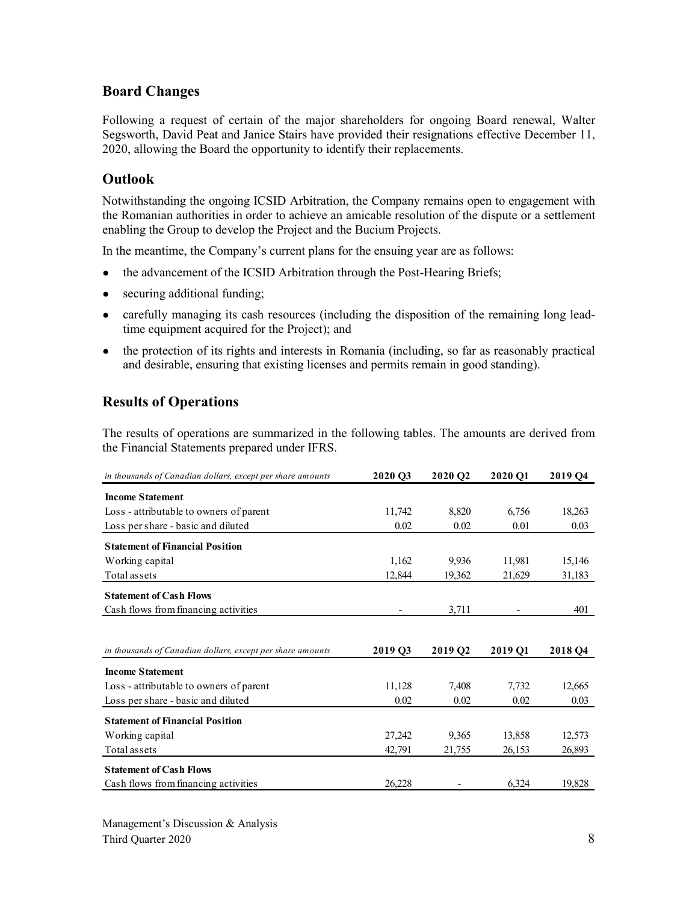## **Board Changes**

Following a request of certain of the major shareholders for ongoing Board renewal, Walter Segsworth, David Peat and Janice Stairs have provided their resignations effective December 11, 2020, allowing the Board the opportunity to identify their replacements.

## **Outlook**

Notwithstanding the ongoing ICSID Arbitration, the Company remains open to engagement with the Romanian authorities in order to achieve an amicable resolution of the dispute or a settlement enabling the Group to develop the Project and the Bucium Projects.

In the meantime, the Company's current plans for the ensuing year are as follows:

- the advancement of the ICSID Arbitration through the Post-Hearing Briefs;
- securing additional funding;
- carefully managing its cash resources (including the disposition of the remaining long leadtime equipment acquired for the Project); and
- the protection of its rights and interests in Romania (including, so far as reasonably practical and desirable, ensuring that existing licenses and permits remain in good standing).

## **Results of Operations**

The results of operations are summarized in the following tables. The amounts are derived from the Financial Statements prepared under IFRS.

| in thousands of Canadian dollars, except per share amounts | 2020 O3             | 2020 Q2 | 2020 O1 | 2019 Q4             |
|------------------------------------------------------------|---------------------|---------|---------|---------------------|
| <b>Income Statement</b>                                    |                     |         |         |                     |
| Loss - attributable to owners of parent                    | 11,742              | 8,820   | 6,756   | 18,263              |
| Loss per share - basic and diluted                         | 0.02                | 0.02    | 0.01    | 0.03                |
| <b>Statement of Financial Position</b>                     |                     |         |         |                     |
| Working capital                                            | 1,162               | 9,936   | 11,981  | 15,146              |
| Total assets                                               | 12,844              | 19,362  | 21,629  | 31,183              |
| <b>Statement of Cash Flows</b>                             |                     |         |         |                     |
| Cash flows from financing activities                       |                     | 3,711   |         | 401                 |
|                                                            |                     |         |         |                     |
| in thousands of Canadian dollars, except per share amounts | 2019 O <sub>3</sub> | 2019 Q2 | 2019 O1 | 2018 O <sub>4</sub> |
|                                                            |                     |         |         |                     |
| <b>Income Statement</b>                                    |                     |         |         |                     |
| Loss - attributable to owners of parent                    | 11,128              | 7,408   | 7,732   | 12,665              |
| Loss per share - basic and diluted                         | 0.02                | 0.02    | 0.02    | 0.03                |
| <b>Statement of Financial Position</b>                     |                     |         |         |                     |
| Working capital                                            | 27,242              | 9,365   | 13,858  | 12,573              |
| Total assets                                               | 42,791              | 21,755  | 26,153  | 26,893              |
| <b>Statement of Cash Flows</b>                             |                     |         |         |                     |
| Cash flows from financing activities                       | 26,228              |         | 6,324   | 19,828              |

Management's Discussion & Analysis Third Quarter 2020 8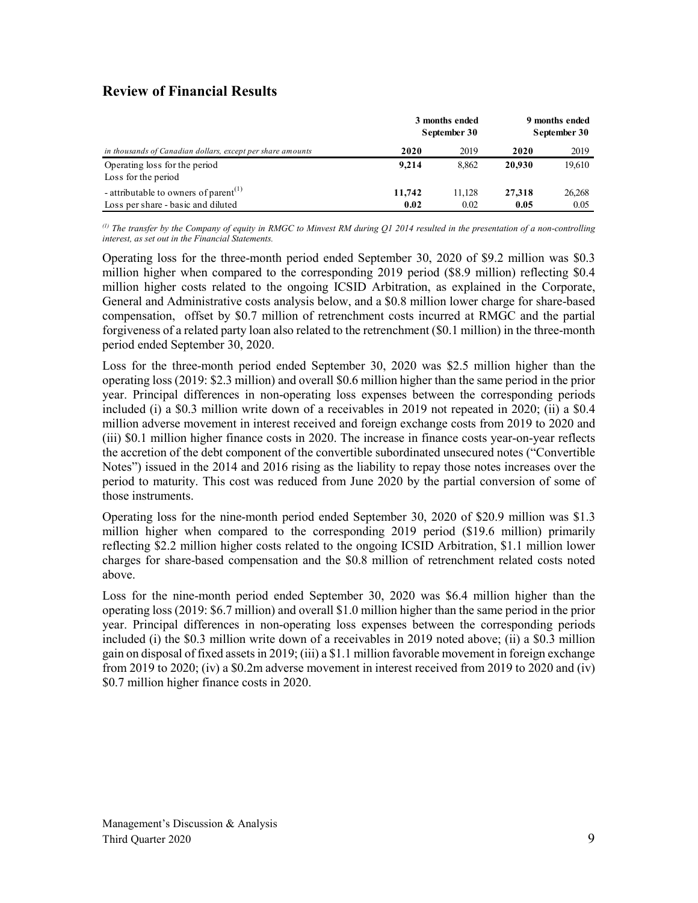## **Review of Financial Results**

|                                                                                         | 3 months ended<br>September 30 | 9 months ended<br>September 30 |                |                |
|-----------------------------------------------------------------------------------------|--------------------------------|--------------------------------|----------------|----------------|
| in thousands of Canadian dollars, except per share amounts                              | 2020                           | 2019                           | 2020           | 2019           |
| Operating loss for the period<br>Loss for the period                                    | 9.214                          | 8.862                          | 20.930         | 19,610         |
| - attributable to owners of parent <sup>(1)</sup><br>Loss per share - basic and diluted | 11,742<br>0.02                 | 11.128<br>0.02                 | 27,318<br>0.05 | 26,268<br>0.05 |

*(1) The transfer by the Company of equity in RMGC to Minvest RM during Q1 2014 resulted in the presentation of a non-controlling interest, as set out in the Financial Statements.*

Operating loss for the three-month period ended September 30, 2020 of \$9.2 million was \$0.3 million higher when compared to the corresponding 2019 period (\$8.9 million) reflecting \$0.4 million higher costs related to the ongoing ICSID Arbitration, as explained in the Corporate, General and Administrative costs analysis below, and a \$0.8 million lower charge for share-based compensation, offset by \$0.7 million of retrenchment costs incurred at RMGC and the partial forgiveness of a related party loan also related to the retrenchment (\$0.1 million) in the three-month period ended September 30, 2020.

Loss for the three-month period ended September 30, 2020 was \$2.5 million higher than the operating loss (2019: \$2.3 million) and overall \$0.6 million higher than the same period in the prior year. Principal differences in non-operating loss expenses between the corresponding periods included (i) a \$0.3 million write down of a receivables in 2019 not repeated in 2020; (ii) a \$0.4 million adverse movement in interest received and foreign exchange costs from 2019 to 2020 and (iii) \$0.1 million higher finance costs in 2020. The increase in finance costs year-on-year reflects the accretion of the debt component of the convertible subordinated unsecured notes ("Convertible Notes") issued in the 2014 and 2016 rising as the liability to repay those notes increases over the period to maturity. This cost was reduced from June 2020 by the partial conversion of some of those instruments.

Operating loss for the nine-month period ended September 30, 2020 of \$20.9 million was \$1.3 million higher when compared to the corresponding 2019 period (\$19.6 million) primarily reflecting \$2.2 million higher costs related to the ongoing ICSID Arbitration, \$1.1 million lower charges for share-based compensation and the \$0.8 million of retrenchment related costs noted above.

Loss for the nine-month period ended September 30, 2020 was \$6.4 million higher than the operating loss (2019: \$6.7 million) and overall \$1.0 million higher than the same period in the prior year. Principal differences in non-operating loss expenses between the corresponding periods included (i) the \$0.3 million write down of a receivables in 2019 noted above; (ii) a \$0.3 million gain on disposal of fixed assets in 2019; (iii) a \$1.1 million favorable movement in foreign exchange from 2019 to 2020; (iv) a \$0.2m adverse movement in interest received from 2019 to 2020 and (iv) \$0.7 million higher finance costs in 2020.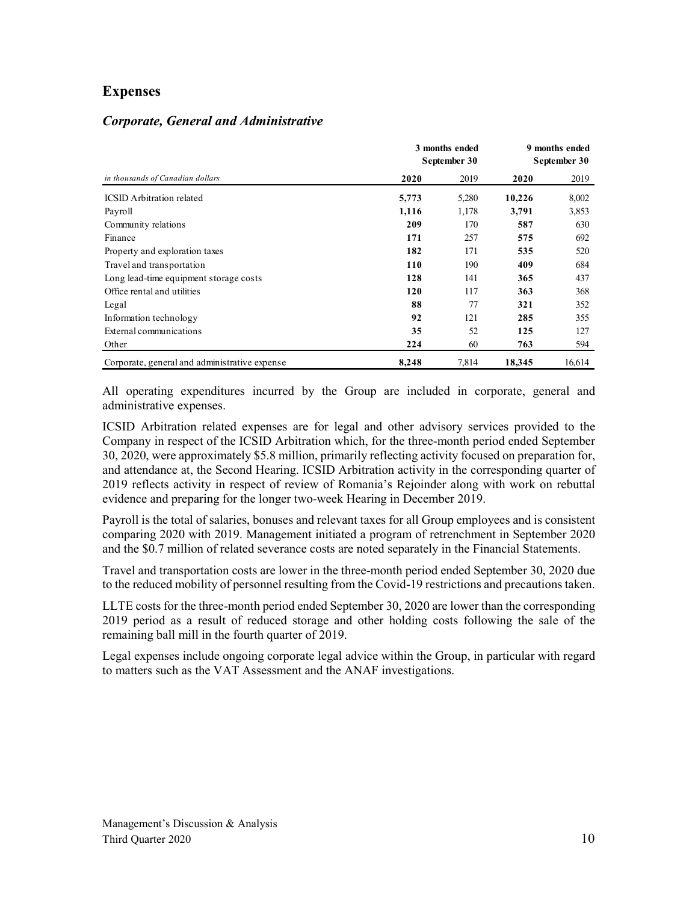### **Expenses**

|  |  |  | <b>Corporate, General and Administrative</b> |  |
|--|--|--|----------------------------------------------|--|
|--|--|--|----------------------------------------------|--|

|                                               | 3 months ended<br>September 30 | 9 months ended<br>September 30 |        |        |
|-----------------------------------------------|--------------------------------|--------------------------------|--------|--------|
| in thousands of Canadian dollars              | 2020                           | 2019                           | 2020   | 2019   |
| <b>ICSID</b> Arbitration related              | 5,773                          | 5,280                          | 10,226 | 8,002  |
| Payroll                                       | 1,116                          | 1,178                          | 3,791  | 3,853  |
| Community relations                           | 209                            | 170                            | 587    | 630    |
| Finance                                       | 171                            | 257                            | 575    | 692    |
| Property and exploration taxes                | 182                            | 171                            | 535    | 520    |
| Travel and transportation                     | 110                            | 190                            | 409    | 684    |
| Long lead-time equipment storage costs        | 128                            | 141                            | 365    | 437    |
| Office rental and utilities                   | 120                            | 117                            | 363    | 368    |
| Legal                                         | 88                             | 77                             | 321    | 352    |
| Information technology                        | 92                             | 121                            | 285    | 355    |
| External communications                       | 35                             | 52                             | 125    | 127    |
| Other                                         | 224                            | 60                             | 763    | 594    |
| Corporate, general and administrative expense | 8.248                          | 7,814                          | 18,345 | 16.614 |

All operating expenditures incurred by the Group are included in corporate, general and administrative expenses.

ICSID Arbitration related expenses are for legal and other advisory services provided to the Company in respect of the ICSID Arbitration which, for the three-month period ended September 30, 2020, were approximately \$5.8 million, primarily reflecting activity focused on preparation for, and attendance at, the Second Hearing. ICSID Arbitration activity in the corresponding quarter of 2019 reflects activity in respect of review of Romania's Rejoinder along with work on rebuttal evidence and preparing for the longer two-week Hearing in December 2019.

Payroll is the total of salaries, bonuses and relevant taxes for all Group employees and is consistent comparing 2020 with 2019. Management initiated a program of retrenchment in September 2020 and the \$0.7 million of related severance costs are noted separately in the Financial Statements.

Travel and transportation costs are lower in the three-month period ended September 30, 2020 due to the reduced mobility of personnel resulting from the Covid-19 restrictions and precautions taken.

LLTE costs for the three-month period ended September 30, 2020 are lower than the corresponding 2019 period as a result of reduced storage and other holding costs following the sale of the remaining ball mill in the fourth quarter of 2019.

Legal expenses include ongoing corporate legal advice within the Group, in particular with regard to matters such as the VAT Assessment and the ANAF investigations.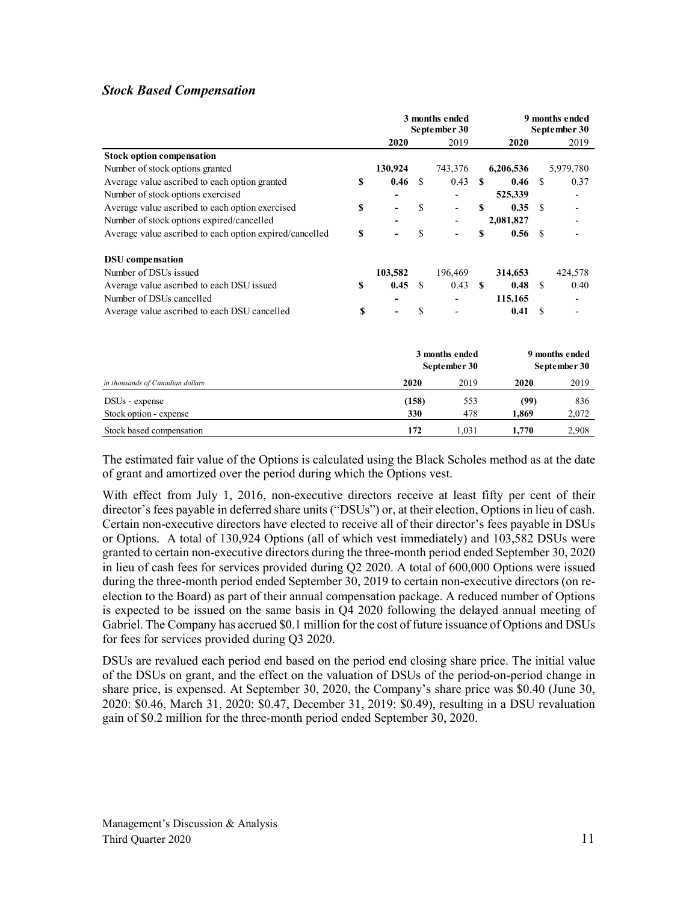#### *Stock Based Compensation*

|                                                         |    | 3 months ended<br>September 30 |               |                | 9 months ended<br>September 30 |           |               |                |
|---------------------------------------------------------|----|--------------------------------|---------------|----------------|--------------------------------|-----------|---------------|----------------|
|                                                         |    | 2020                           |               | 2019           |                                | 2020      |               | 2019           |
| <b>Stock option compensation</b>                        |    |                                |               |                |                                |           |               |                |
| Number of stock options granted                         |    | 130,924                        |               | 743,376        |                                | 6,206,536 |               | 5,979,780      |
| Average value ascribed to each option granted           | \$ | 0.46                           | -S            | 0.43           | -S                             | 0.46      | <sup>\$</sup> | 0.37           |
| Number of stock options exercised                       |    |                                |               |                |                                | 525,339   |               |                |
| Average value ascribed to each option exercised         | \$ |                                | \$            |                | S                              | 0.35      | <sup>\$</sup> |                |
| Number of stock options expired/cancelled               |    |                                |               |                |                                | 2,081,827 |               |                |
| Average value ascribed to each option expired/cancelled | \$ |                                | \$            |                | \$                             | 0.56      | - \$          |                |
| <b>DSU</b> compensation                                 |    |                                |               |                |                                |           |               |                |
| Number of DSUs issued                                   |    | 103,582                        |               | 196,469        |                                | 314,653   |               | 424,578        |
| Average value ascribed to each DSU issued               | \$ | 0.45                           | <sup>\$</sup> | 0.43           | -SS                            | 0.48      | -S            | 0.40           |
| Number of DSUs cancelled                                |    |                                |               |                |                                | 115,165   |               |                |
| Average value ascribed to each DSU cancelled            | S  |                                | \$            |                |                                | 0.41      | <sup>S</sup>  |                |
|                                                         |    |                                |               | 3 months ended |                                |           |               | 9 months ended |
|                                                         |    |                                |               | September 30   |                                |           |               | September 30   |
| in thousands of Canadian dollars                        |    |                                | 2020          | 2019           |                                | 2020      |               | 2019           |
| DSU <sub>s</sub> - expense                              |    |                                | (158)         | 553            |                                | (99)      |               | 836            |
| Stock option - expense                                  |    |                                | 330           | 478            |                                | 1,869     |               | 2,072          |
| Stock based compensation                                |    |                                | 172           | 1,031          |                                | 1,770     |               | 2,908          |

The estimated fair value of the Options is calculated using the Black Scholes method as at the date of grant and amortized over the period during which the Options vest.

With effect from July 1, 2016, non-executive directors receive at least fifty per cent of their director's fees payable in deferred share units ("DSUs") or, at their election, Options in lieu of cash. Certain non-executive directors have elected to receive all of their director's fees payable in DSUs or Options. A total of 130,924 Options (all of which vest immediately) and 103,582 DSUs were granted to certain non-executive directors during the three-month period ended September 30, 2020 in lieu of cash fees for services provided during Q2 2020. A total of 600,000 Options were issued during the three-month period ended September 30, 2019 to certain non-executive directors (on reelection to the Board) as part of their annual compensation package. A reduced number of Options is expected to be issued on the same basis in Q4 2020 following the delayed annual meeting of Gabriel. The Company has accrued \$0.1 million for the cost of future issuance of Options and DSUs for fees for services provided during Q3 2020.

DSUs are revalued each period end based on the period end closing share price. The initial value of the DSUs on grant, and the effect on the valuation of DSUs of the period-on-period change in share price, is expensed. At September 30, 2020, the Company's share price was \$0.40 (June 30, 2020: \$0.46, March 31, 2020: \$0.47, December 31, 2019: \$0.49), resulting in a DSU revaluation gain of \$0.2 million for the three-month period ended September 30, 2020.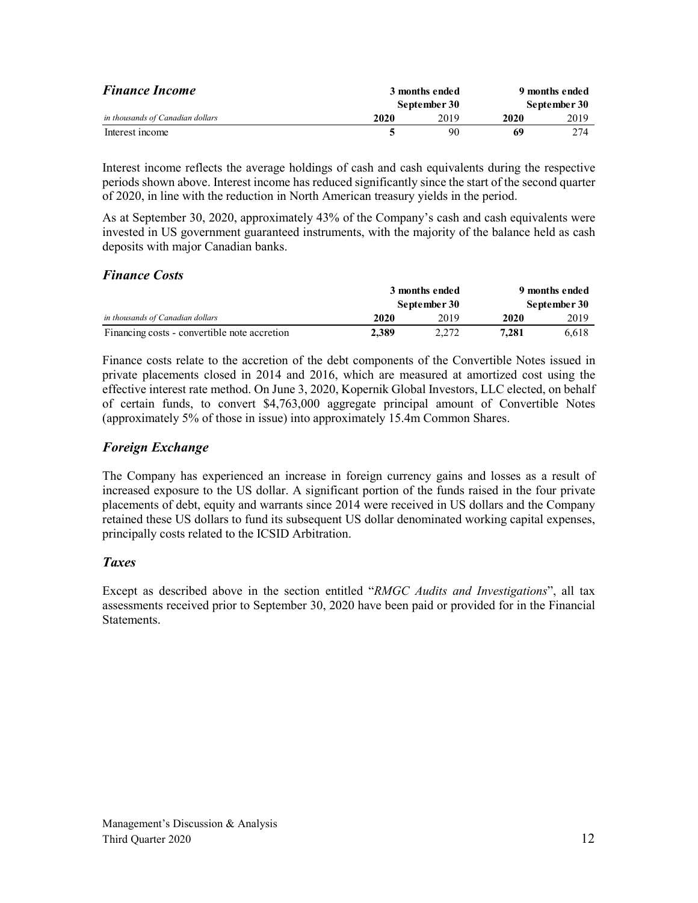| <b>Finance Income</b>            | 3 months ended<br>September 30 |      | 9 months ended |      |  |
|----------------------------------|--------------------------------|------|----------------|------|--|
|                                  |                                |      | September 30   |      |  |
| in thousands of Canadian dollars | 2020                           | 2019 | 2020           | 2019 |  |
| Interest income                  |                                | 90   | 69             | 2.74 |  |

Interest income reflects the average holdings of cash and cash equivalents during the respective periods shown above. Interest income has reduced significantly since the start of the second quarter of 2020, in line with the reduction in North American treasury yields in the period.

As at September 30, 2020, approximately 43% of the Company's cash and cash equivalents were invested in US government guaranteed instruments, with the majority of the balance held as cash deposits with major Canadian banks.

#### *Finance Costs*

|                                              | 3 months ended |              | 9 months ended |       |  |
|----------------------------------------------|----------------|--------------|----------------|-------|--|
|                                              |                | September 30 | September 30   |       |  |
| in thousands of Canadian dollars             | 2020           | 2019         | 2020           | 2019  |  |
| Financing costs - convertible note accretion | 2.389          | 2.272        | 7.281          | 6.618 |  |

Finance costs relate to the accretion of the debt components of the Convertible Notes issued in private placements closed in 2014 and 2016, which are measured at amortized cost using the effective interest rate method. On June 3, 2020, Kopernik Global Investors, LLC elected, on behalf of certain funds, to convert \$4,763,000 aggregate principal amount of Convertible Notes (approximately 5% of those in issue) into approximately 15.4m Common Shares.

## *Foreign Exchange*

The Company has experienced an increase in foreign currency gains and losses as a result of increased exposure to the US dollar. A significant portion of the funds raised in the four private placements of debt, equity and warrants since 2014 were received in US dollars and the Company retained these US dollars to fund its subsequent US dollar denominated working capital expenses, principally costs related to the ICSID Arbitration.

### *Taxes*

Except as described above in the section entitled "*RMGC Audits and Investigations*", all tax assessments received prior to September 30, 2020 have been paid or provided for in the Financial Statements.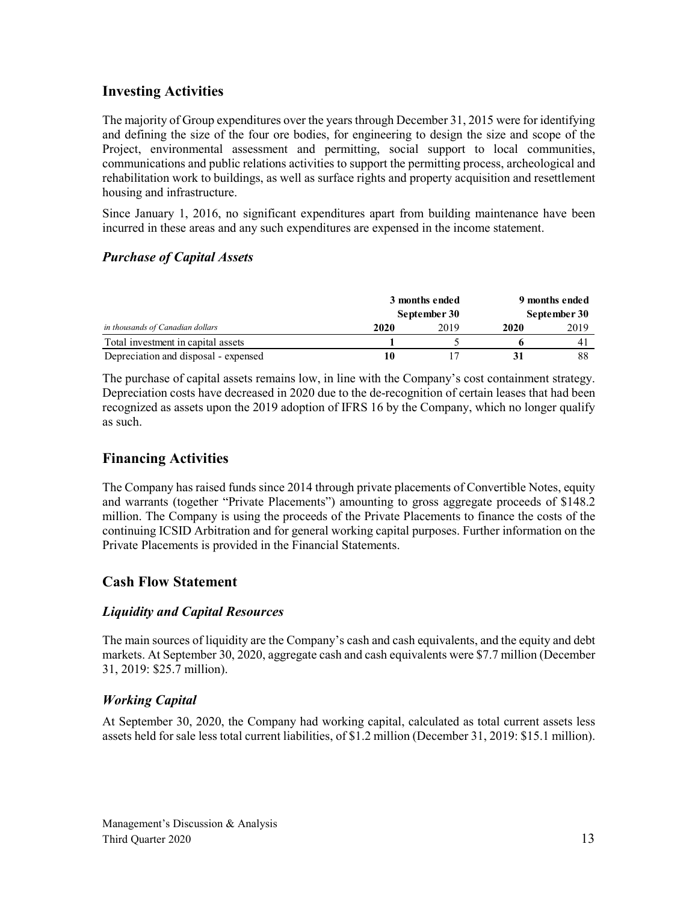## **Investing Activities**

The majority of Group expenditures over the years through December 31, 2015 were for identifying and defining the size of the four ore bodies, for engineering to design the size and scope of the Project, environmental assessment and permitting, social support to local communities, communications and public relations activities to support the permitting process, archeological and rehabilitation work to buildings, as well as surface rights and property acquisition and resettlement housing and infrastructure.

Since January 1, 2016, no significant expenditures apart from building maintenance have been incurred in these areas and any such expenditures are expensed in the income statement.

## *Purchase of Capital Assets*

|                                      | 3 months ended |      | 9 months ended<br>September 30 |      |  |
|--------------------------------------|----------------|------|--------------------------------|------|--|
|                                      | September 30   |      |                                |      |  |
| in thousands of Canadian dollars     | 2020           | 2019 | 2020                           | 2019 |  |
| Total investment in capital assets   |                |      |                                |      |  |
| Depreciation and disposal - expensed |                |      |                                | 88   |  |

The purchase of capital assets remains low, in line with the Company's cost containment strategy. Depreciation costs have decreased in 2020 due to the de-recognition of certain leases that had been recognized as assets upon the 2019 adoption of IFRS 16 by the Company, which no longer qualify as such.

## **Financing Activities**

The Company has raised funds since 2014 through private placements of Convertible Notes, equity and warrants (together "Private Placements") amounting to gross aggregate proceeds of \$148.2 million. The Company is using the proceeds of the Private Placements to finance the costs of the continuing ICSID Arbitration and for general working capital purposes. Further information on the Private Placements is provided in the Financial Statements.

## **Cash Flow Statement**

### *Liquidity and Capital Resources*

The main sources of liquidity are the Company's cash and cash equivalents, and the equity and debt markets. At September 30, 2020, aggregate cash and cash equivalents were \$7.7 million (December 31, 2019: \$25.7 million).

## *Working Capital*

At September 30, 2020, the Company had working capital, calculated as total current assets less assets held for sale less total current liabilities, of \$1.2 million (December 31, 2019: \$15.1 million).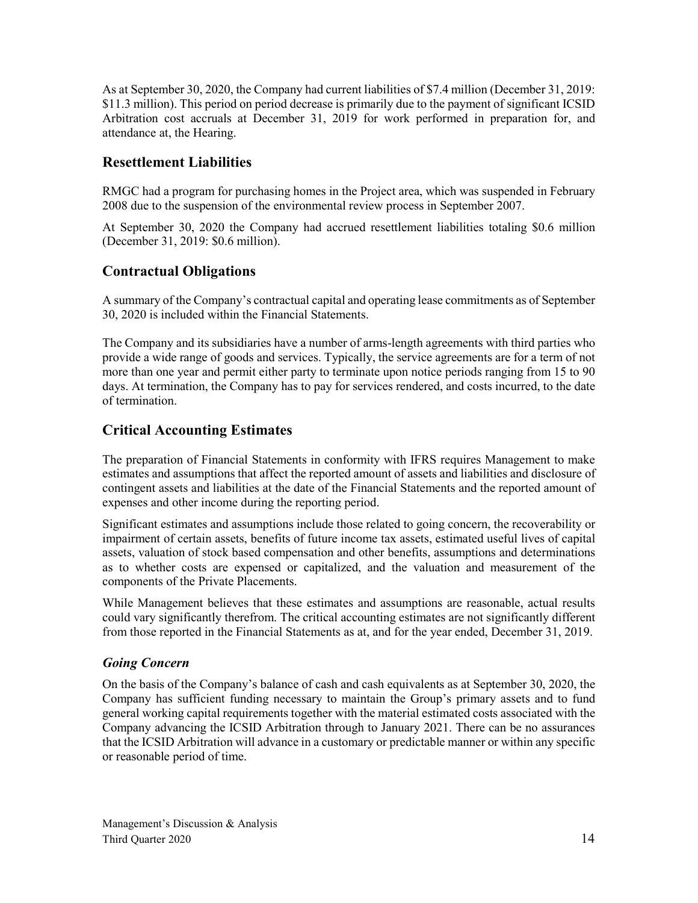As at September 30, 2020, the Company had current liabilities of \$7.4 million (December 31, 2019: \$11.3 million). This period on period decrease is primarily due to the payment of significant ICSID Arbitration cost accruals at December 31, 2019 for work performed in preparation for, and attendance at, the Hearing.

## **Resettlement Liabilities**

RMGC had a program for purchasing homes in the Project area, which was suspended in February 2008 due to the suspension of the environmental review process in September 2007.

At September 30, 2020 the Company had accrued resettlement liabilities totaling \$0.6 million (December 31, 2019: \$0.6 million).

## **Contractual Obligations**

A summary of the Company's contractual capital and operating lease commitments as of September 30, 2020 is included within the Financial Statements.

The Company and its subsidiaries have a number of arms-length agreements with third parties who provide a wide range of goods and services. Typically, the service agreements are for a term of not more than one year and permit either party to terminate upon notice periods ranging from 15 to 90 days. At termination, the Company has to pay for services rendered, and costs incurred, to the date of termination.

## **Critical Accounting Estimates**

The preparation of Financial Statements in conformity with IFRS requires Management to make estimates and assumptions that affect the reported amount of assets and liabilities and disclosure of contingent assets and liabilities at the date of the Financial Statements and the reported amount of expenses and other income during the reporting period.

Significant estimates and assumptions include those related to going concern, the recoverability or impairment of certain assets, benefits of future income tax assets, estimated useful lives of capital assets, valuation of stock based compensation and other benefits, assumptions and determinations as to whether costs are expensed or capitalized, and the valuation and measurement of the components of the Private Placements.

While Management believes that these estimates and assumptions are reasonable, actual results could vary significantly therefrom. The critical accounting estimates are not significantly different from those reported in the Financial Statements as at, and for the year ended, December 31, 2019.

### *Going Concern*

On the basis of the Company's balance of cash and cash equivalents as at September 30, 2020, the Company has sufficient funding necessary to maintain the Group's primary assets and to fund general working capital requirements together with the material estimated costs associated with the Company advancing the ICSID Arbitration through to January 2021. There can be no assurances that the ICSID Arbitration will advance in a customary or predictable manner or within any specific or reasonable period of time.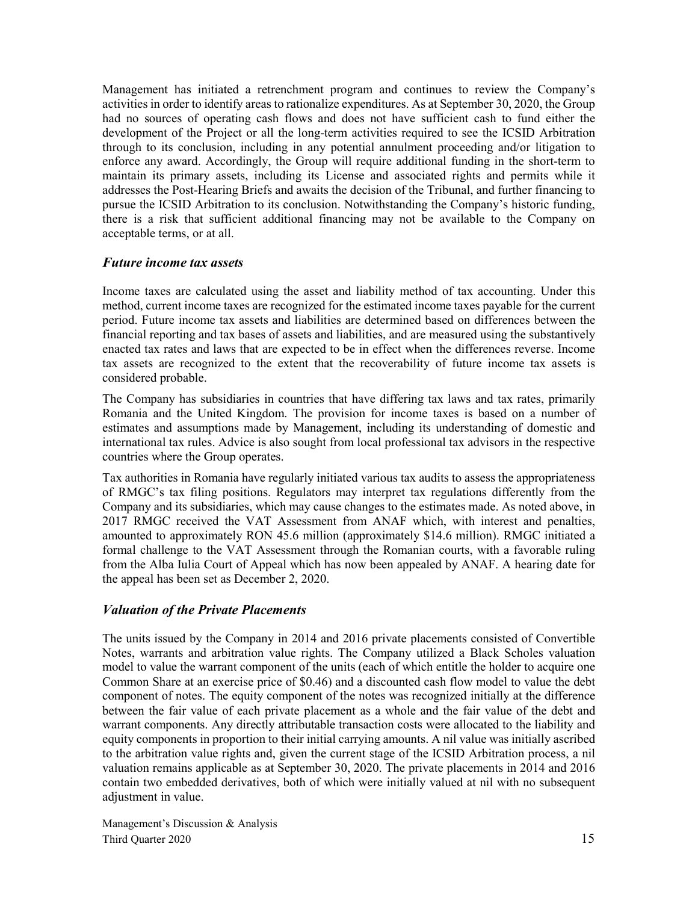Management has initiated a retrenchment program and continues to review the Company's activities in order to identify areas to rationalize expenditures. As at September 30, 2020, the Group had no sources of operating cash flows and does not have sufficient cash to fund either the development of the Project or all the long-term activities required to see the ICSID Arbitration through to its conclusion, including in any potential annulment proceeding and/or litigation to enforce any award. Accordingly, the Group will require additional funding in the short-term to maintain its primary assets, including its License and associated rights and permits while it addresses the Post-Hearing Briefs and awaits the decision of the Tribunal, and further financing to pursue the ICSID Arbitration to its conclusion. Notwithstanding the Company's historic funding, there is a risk that sufficient additional financing may not be available to the Company on acceptable terms, or at all.

#### *Future income tax assets*

Income taxes are calculated using the asset and liability method of tax accounting. Under this method, current income taxes are recognized for the estimated income taxes payable for the current period. Future income tax assets and liabilities are determined based on differences between the financial reporting and tax bases of assets and liabilities, and are measured using the substantively enacted tax rates and laws that are expected to be in effect when the differences reverse. Income tax assets are recognized to the extent that the recoverability of future income tax assets is considered probable.

The Company has subsidiaries in countries that have differing tax laws and tax rates, primarily Romania and the United Kingdom. The provision for income taxes is based on a number of estimates and assumptions made by Management, including its understanding of domestic and international tax rules. Advice is also sought from local professional tax advisors in the respective countries where the Group operates.

Tax authorities in Romania have regularly initiated various tax audits to assess the appropriateness of RMGC's tax filing positions. Regulators may interpret tax regulations differently from the Company and its subsidiaries, which may cause changes to the estimates made. As noted above, in 2017 RMGC received the VAT Assessment from ANAF which, with interest and penalties, amounted to approximately RON 45.6 million (approximately \$14.6 million). RMGC initiated a formal challenge to the VAT Assessment through the Romanian courts, with a favorable ruling from the Alba Iulia Court of Appeal which has now been appealed by ANAF. A hearing date for the appeal has been set as December 2, 2020.

#### *Valuation of the Private Placements*

The units issued by the Company in 2014 and 2016 private placements consisted of Convertible Notes, warrants and arbitration value rights. The Company utilized a Black Scholes valuation model to value the warrant component of the units (each of which entitle the holder to acquire one Common Share at an exercise price of \$0.46) and a discounted cash flow model to value the debt component of notes. The equity component of the notes was recognized initially at the difference between the fair value of each private placement as a whole and the fair value of the debt and warrant components. Any directly attributable transaction costs were allocated to the liability and equity components in proportion to their initial carrying amounts. A nil value was initially ascribed to the arbitration value rights and, given the current stage of the ICSID Arbitration process, a nil valuation remains applicable as at September 30, 2020. The private placements in 2014 and 2016 contain two embedded derivatives, both of which were initially valued at nil with no subsequent adjustment in value.

Management's Discussion & Analysis Third Quarter 2020 15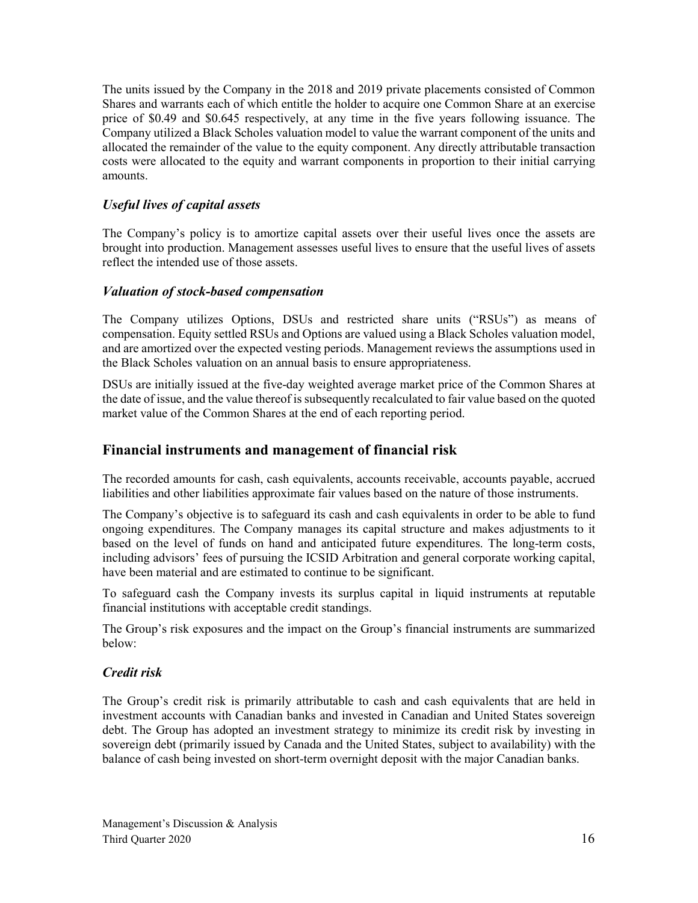The units issued by the Company in the 2018 and 2019 private placements consisted of Common Shares and warrants each of which entitle the holder to acquire one Common Share at an exercise price of \$0.49 and \$0.645 respectively, at any time in the five years following issuance. The Company utilized a Black Scholes valuation model to value the warrant component of the units and allocated the remainder of the value to the equity component. Any directly attributable transaction costs were allocated to the equity and warrant components in proportion to their initial carrying amounts.

#### *Useful lives of capital assets*

The Company's policy is to amortize capital assets over their useful lives once the assets are brought into production. Management assesses useful lives to ensure that the useful lives of assets reflect the intended use of those assets.

#### *Valuation of stock-based compensation*

The Company utilizes Options, DSUs and restricted share units ("RSUs") as means of compensation. Equity settled RSUs and Options are valued using a Black Scholes valuation model, and are amortized over the expected vesting periods. Management reviews the assumptions used in the Black Scholes valuation on an annual basis to ensure appropriateness.

DSUs are initially issued at the five-day weighted average market price of the Common Shares at the date of issue, and the value thereof is subsequently recalculated to fair value based on the quoted market value of the Common Shares at the end of each reporting period.

#### **Financial instruments and management of financial risk**

The recorded amounts for cash, cash equivalents, accounts receivable, accounts payable, accrued liabilities and other liabilities approximate fair values based on the nature of those instruments.

The Company's objective is to safeguard its cash and cash equivalents in order to be able to fund ongoing expenditures. The Company manages its capital structure and makes adjustments to it based on the level of funds on hand and anticipated future expenditures. The long-term costs, including advisors' fees of pursuing the ICSID Arbitration and general corporate working capital, have been material and are estimated to continue to be significant.

To safeguard cash the Company invests its surplus capital in liquid instruments at reputable financial institutions with acceptable credit standings.

The Group's risk exposures and the impact on the Group's financial instruments are summarized below:

#### *Credit risk*

The Group's credit risk is primarily attributable to cash and cash equivalents that are held in investment accounts with Canadian banks and invested in Canadian and United States sovereign debt. The Group has adopted an investment strategy to minimize its credit risk by investing in sovereign debt (primarily issued by Canada and the United States, subject to availability) with the balance of cash being invested on short-term overnight deposit with the major Canadian banks.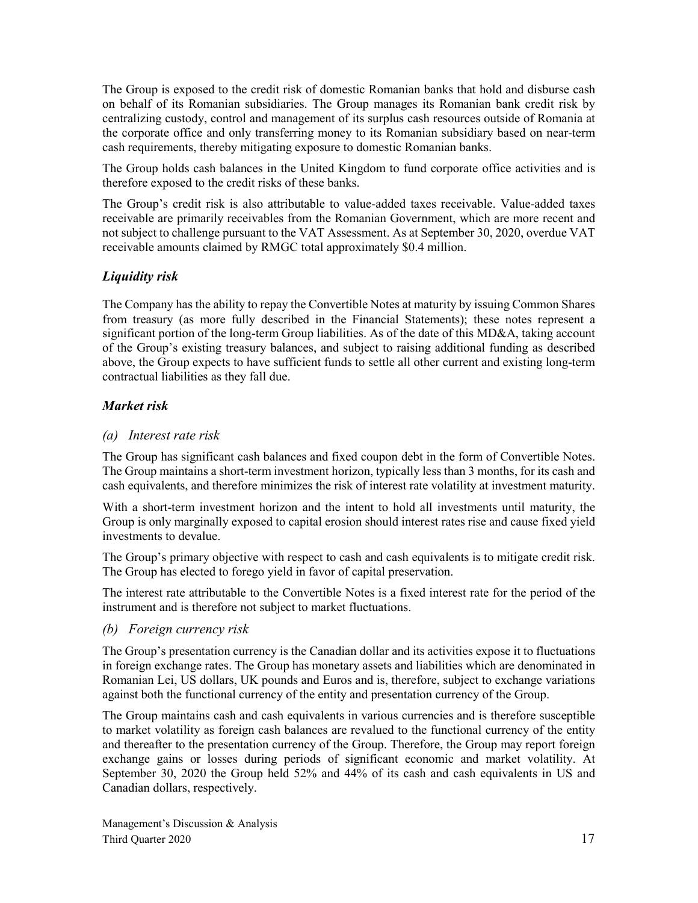The Group is exposed to the credit risk of domestic Romanian banks that hold and disburse cash on behalf of its Romanian subsidiaries. The Group manages its Romanian bank credit risk by centralizing custody, control and management of its surplus cash resources outside of Romania at the corporate office and only transferring money to its Romanian subsidiary based on near-term cash requirements, thereby mitigating exposure to domestic Romanian banks.

The Group holds cash balances in the United Kingdom to fund corporate office activities and is therefore exposed to the credit risks of these banks.

The Group's credit risk is also attributable to value-added taxes receivable. Value-added taxes receivable are primarily receivables from the Romanian Government, which are more recent and not subject to challenge pursuant to the VAT Assessment. As at September 30, 2020, overdue VAT receivable amounts claimed by RMGC total approximately \$0.4 million.

### *Liquidity risk*

The Company has the ability to repay the Convertible Notes at maturity by issuing Common Shares from treasury (as more fully described in the Financial Statements); these notes represent a significant portion of the long-term Group liabilities. As of the date of this MD&A, taking account of the Group's existing treasury balances, and subject to raising additional funding as described above, the Group expects to have sufficient funds to settle all other current and existing long-term contractual liabilities as they fall due.

### *Market risk*

#### *(a) Interest rate risk*

The Group has significant cash balances and fixed coupon debt in the form of Convertible Notes. The Group maintains a short-term investment horizon, typically less than 3 months, for its cash and cash equivalents, and therefore minimizes the risk of interest rate volatility at investment maturity.

With a short-term investment horizon and the intent to hold all investments until maturity, the Group is only marginally exposed to capital erosion should interest rates rise and cause fixed yield investments to devalue.

The Group's primary objective with respect to cash and cash equivalents is to mitigate credit risk. The Group has elected to forego yield in favor of capital preservation.

The interest rate attributable to the Convertible Notes is a fixed interest rate for the period of the instrument and is therefore not subject to market fluctuations.

#### *(b) Foreign currency risk*

The Group's presentation currency is the Canadian dollar and its activities expose it to fluctuations in foreign exchange rates. The Group has monetary assets and liabilities which are denominated in Romanian Lei, US dollars, UK pounds and Euros and is, therefore, subject to exchange variations against both the functional currency of the entity and presentation currency of the Group.

The Group maintains cash and cash equivalents in various currencies and is therefore susceptible to market volatility as foreign cash balances are revalued to the functional currency of the entity and thereafter to the presentation currency of the Group. Therefore, the Group may report foreign exchange gains or losses during periods of significant economic and market volatility. At September 30, 2020 the Group held 52% and 44% of its cash and cash equivalents in US and Canadian dollars, respectively.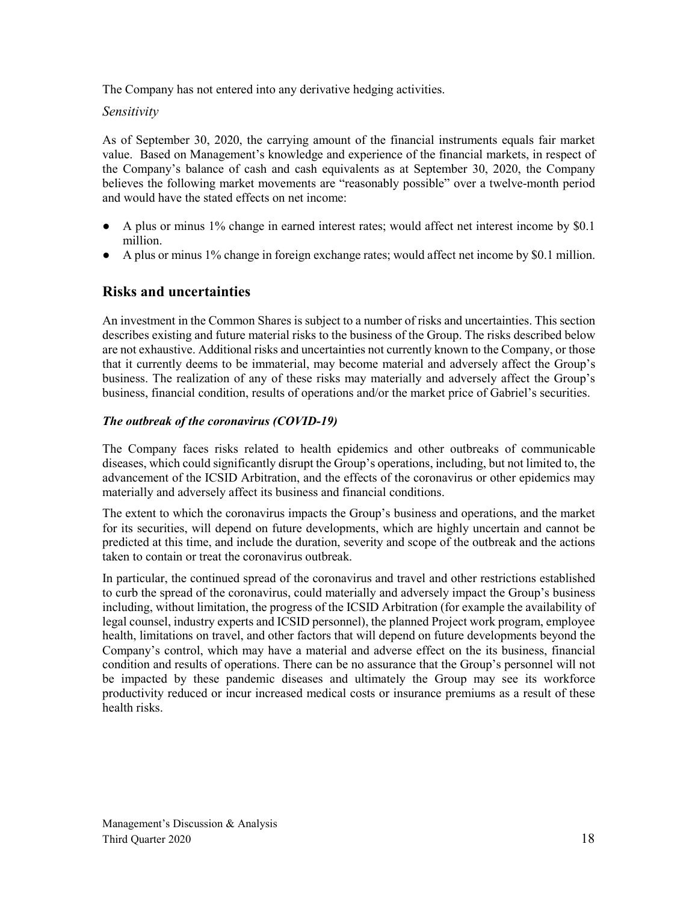The Company has not entered into any derivative hedging activities.

#### *Sensitivity*

As of September 30, 2020, the carrying amount of the financial instruments equals fair market value. Based on Management's knowledge and experience of the financial markets, in respect of the Company's balance of cash and cash equivalents as at September 30, 2020, the Company believes the following market movements are "reasonably possible" over a twelve-month period and would have the stated effects on net income:

- A plus or minus 1% change in earned interest rates; would affect net interest income by \$0.1 million.
- A plus or minus 1% change in foreign exchange rates; would affect net income by \$0.1 million.

## **Risks and uncertainties**

An investment in the Common Shares is subject to a number of risks and uncertainties. This section describes existing and future material risks to the business of the Group. The risks described below are not exhaustive. Additional risks and uncertainties not currently known to the Company, or those that it currently deems to be immaterial, may become material and adversely affect the Group's business. The realization of any of these risks may materially and adversely affect the Group's business, financial condition, results of operations and/or the market price of Gabriel's securities.

#### *The outbreak of the coronavirus (COVID‐19)*

The Company faces risks related to health epidemics and other outbreaks of communicable diseases, which could significantly disrupt the Group's operations, including, but not limited to, the advancement of the ICSID Arbitration, and the effects of the coronavirus or other epidemics may materially and adversely affect its business and financial conditions.

The extent to which the coronavirus impacts the Group's business and operations, and the market for its securities, will depend on future developments, which are highly uncertain and cannot be predicted at this time, and include the duration, severity and scope of the outbreak and the actions taken to contain or treat the coronavirus outbreak.

In particular, the continued spread of the coronavirus and travel and other restrictions established to curb the spread of the coronavirus, could materially and adversely impact the Group's business including, without limitation, the progress of the ICSID Arbitration (for example the availability of legal counsel, industry experts and ICSID personnel), the planned Project work program, employee health, limitations on travel, and other factors that will depend on future developments beyond the Company's control, which may have a material and adverse effect on the its business, financial condition and results of operations. There can be no assurance that the Group's personnel will not be impacted by these pandemic diseases and ultimately the Group may see its workforce productivity reduced or incur increased medical costs or insurance premiums as a result of these health risks.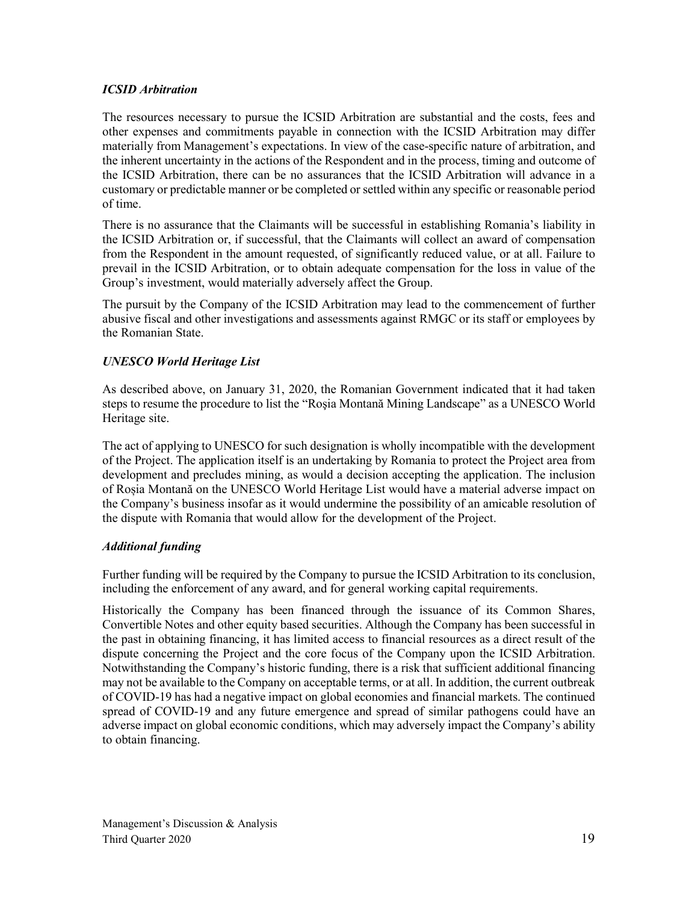#### *ICSID Arbitration*

The resources necessary to pursue the ICSID Arbitration are substantial and the costs, fees and other expenses and commitments payable in connection with the ICSID Arbitration may differ materially from Management's expectations. In view of the case-specific nature of arbitration, and the inherent uncertainty in the actions of the Respondent and in the process, timing and outcome of the ICSID Arbitration, there can be no assurances that the ICSID Arbitration will advance in a customary or predictable manner or be completed or settled within any specific or reasonable period of time.

There is no assurance that the Claimants will be successful in establishing Romania's liability in the ICSID Arbitration or, if successful, that the Claimants will collect an award of compensation from the Respondent in the amount requested, of significantly reduced value, or at all. Failure to prevail in the ICSID Arbitration, or to obtain adequate compensation for the loss in value of the Group's investment, would materially adversely affect the Group.

The pursuit by the Company of the ICSID Arbitration may lead to the commencement of further abusive fiscal and other investigations and assessments against RMGC or its staff or employees by the Romanian State.

#### *UNESCO World Heritage List*

As described above, on January 31, 2020, the Romanian Government indicated that it had taken steps to resume the procedure to list the "Roşia Montană Mining Landscape" as a UNESCO World Heritage site.

The act of applying to UNESCO for such designation is wholly incompatible with the development of the Project. The application itself is an undertaking by Romania to protect the Project area from development and precludes mining, as would a decision accepting the application. The inclusion of Roșia Montană on the UNESCO World Heritage List would have a material adverse impact on the Company's business insofar as it would undermine the possibility of an amicable resolution of the dispute with Romania that would allow for the development of the Project.

#### *Additional funding*

Further funding will be required by the Company to pursue the ICSID Arbitration to its conclusion, including the enforcement of any award, and for general working capital requirements.

Historically the Company has been financed through the issuance of its Common Shares, Convertible Notes and other equity based securities. Although the Company has been successful in the past in obtaining financing, it has limited access to financial resources as a direct result of the dispute concerning the Project and the core focus of the Company upon the ICSID Arbitration. Notwithstanding the Company's historic funding, there is a risk that sufficient additional financing may not be available to the Company on acceptable terms, or at all. In addition, the current outbreak of COVID-19 has had a negative impact on global economies and financial markets. The continued spread of COVID-19 and any future emergence and spread of similar pathogens could have an adverse impact on global economic conditions, which may adversely impact the Company's ability to obtain financing.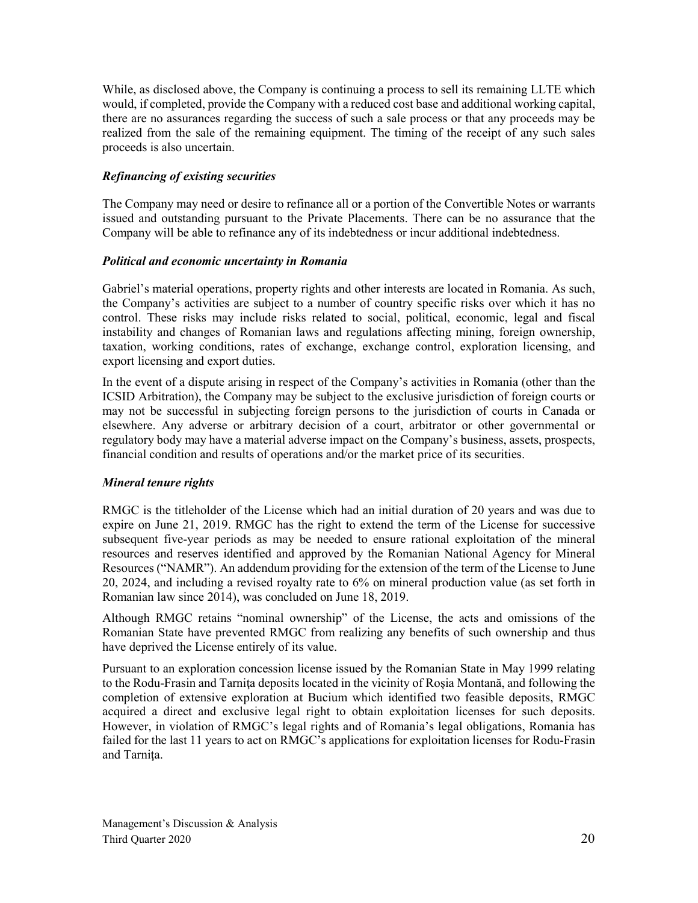While, as disclosed above, the Company is continuing a process to sell its remaining LLTE which would, if completed, provide the Company with a reduced cost base and additional working capital, there are no assurances regarding the success of such a sale process or that any proceeds may be realized from the sale of the remaining equipment. The timing of the receipt of any such sales proceeds is also uncertain.

#### *Refinancing of existing securities*

The Company may need or desire to refinance all or a portion of the Convertible Notes or warrants issued and outstanding pursuant to the Private Placements. There can be no assurance that the Company will be able to refinance any of its indebtedness or incur additional indebtedness.

#### *Political and economic uncertainty in Romania*

Gabriel's material operations, property rights and other interests are located in Romania. As such, the Company's activities are subject to a number of country specific risks over which it has no control. These risks may include risks related to social, political, economic, legal and fiscal instability and changes of Romanian laws and regulations affecting mining, foreign ownership, taxation, working conditions, rates of exchange, exchange control, exploration licensing, and export licensing and export duties.

In the event of a dispute arising in respect of the Company's activities in Romania (other than the ICSID Arbitration), the Company may be subject to the exclusive jurisdiction of foreign courts or may not be successful in subjecting foreign persons to the jurisdiction of courts in Canada or elsewhere. Any adverse or arbitrary decision of a court, arbitrator or other governmental or regulatory body may have a material adverse impact on the Company's business, assets, prospects, financial condition and results of operations and/or the market price of its securities.

#### *Mineral tenure rights*

RMGC is the titleholder of the License which had an initial duration of 20 years and was due to expire on June 21, 2019. RMGC has the right to extend the term of the License for successive subsequent five-year periods as may be needed to ensure rational exploitation of the mineral resources and reserves identified and approved by the Romanian National Agency for Mineral Resources ("NAMR"). An addendum providing for the extension of the term of the License to June 20, 2024, and including a revised royalty rate to 6% on mineral production value (as set forth in Romanian law since 2014), was concluded on June 18, 2019.

Although RMGC retains "nominal ownership" of the License, the acts and omissions of the Romanian State have prevented RMGC from realizing any benefits of such ownership and thus have deprived the License entirely of its value.

Pursuant to an exploration concession license issued by the Romanian State in May 1999 relating to the Rodu-Frasin and Tarnita deposits located in the vicinity of Rosia Montană, and following the completion of extensive exploration at Bucium which identified two feasible deposits, RMGC acquired a direct and exclusive legal right to obtain exploitation licenses for such deposits. However, in violation of RMGC's legal rights and of Romania's legal obligations, Romania has failed for the last 11 years to act on RMGC's applications for exploitation licenses for Rodu-Frasin and Tarnita.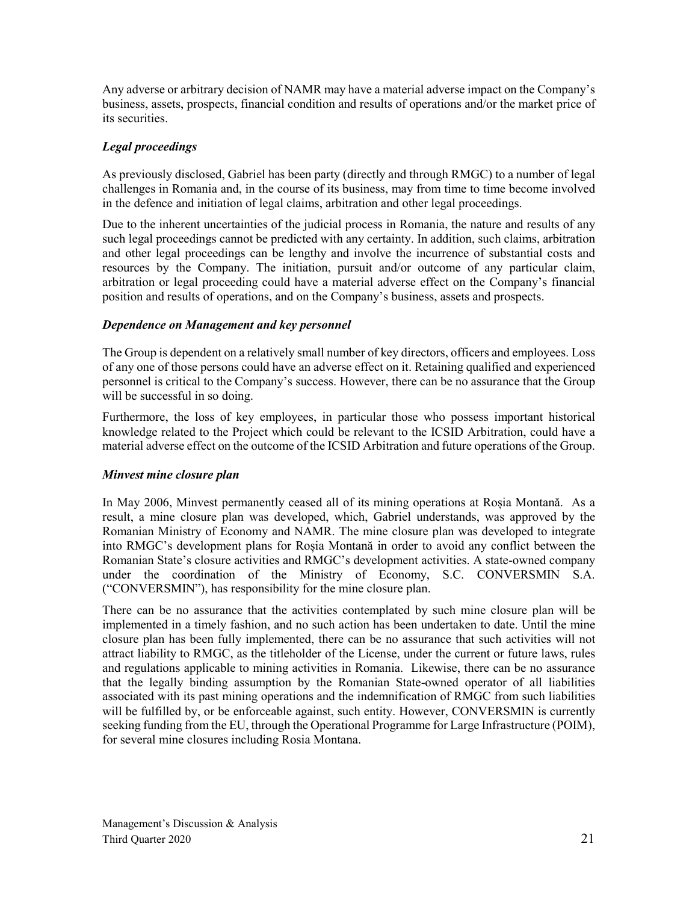Any adverse or arbitrary decision of NAMR may have a material adverse impact on the Company's business, assets, prospects, financial condition and results of operations and/or the market price of its securities.

#### *Legal proceedings*

As previously disclosed, Gabriel has been party (directly and through RMGC) to a number of legal challenges in Romania and, in the course of its business, may from time to time become involved in the defence and initiation of legal claims, arbitration and other legal proceedings.

Due to the inherent uncertainties of the judicial process in Romania, the nature and results of any such legal proceedings cannot be predicted with any certainty. In addition, such claims, arbitration and other legal proceedings can be lengthy and involve the incurrence of substantial costs and resources by the Company. The initiation, pursuit and/or outcome of any particular claim, arbitration or legal proceeding could have a material adverse effect on the Company's financial position and results of operations, and on the Company's business, assets and prospects.

#### *Dependence on Management and key personnel*

The Group is dependent on a relatively small number of key directors, officers and employees. Loss of any one of those persons could have an adverse effect on it. Retaining qualified and experienced personnel is critical to the Company's success. However, there can be no assurance that the Group will be successful in so doing.

Furthermore, the loss of key employees, in particular those who possess important historical knowledge related to the Project which could be relevant to the ICSID Arbitration, could have a material adverse effect on the outcome of the ICSID Arbitration and future operations of the Group.

#### *Minvest mine closure plan*

In May 2006, Minvest permanently ceased all of its mining operations at Roșia Montană. As a result, a mine closure plan was developed, which, Gabriel understands, was approved by the Romanian Ministry of Economy and NAMR. The mine closure plan was developed to integrate into RMGC's development plans for Roșia Montană in order to avoid any conflict between the Romanian State's closure activities and RMGC's development activities. A state-owned company under the coordination of the Ministry of Economy, S.C. CONVERSMIN S.A. ("CONVERSMIN"), has responsibility for the mine closure plan.

There can be no assurance that the activities contemplated by such mine closure plan will be implemented in a timely fashion, and no such action has been undertaken to date. Until the mine closure plan has been fully implemented, there can be no assurance that such activities will not attract liability to RMGC, as the titleholder of the License, under the current or future laws, rules and regulations applicable to mining activities in Romania. Likewise, there can be no assurance that the legally binding assumption by the Romanian State-owned operator of all liabilities associated with its past mining operations and the indemnification of RMGC from such liabilities will be fulfilled by, or be enforceable against, such entity. However, CONVERSMIN is currently seeking funding from the EU, through the Operational Programme for Large Infrastructure (POIM), for several mine closures including Rosia Montana.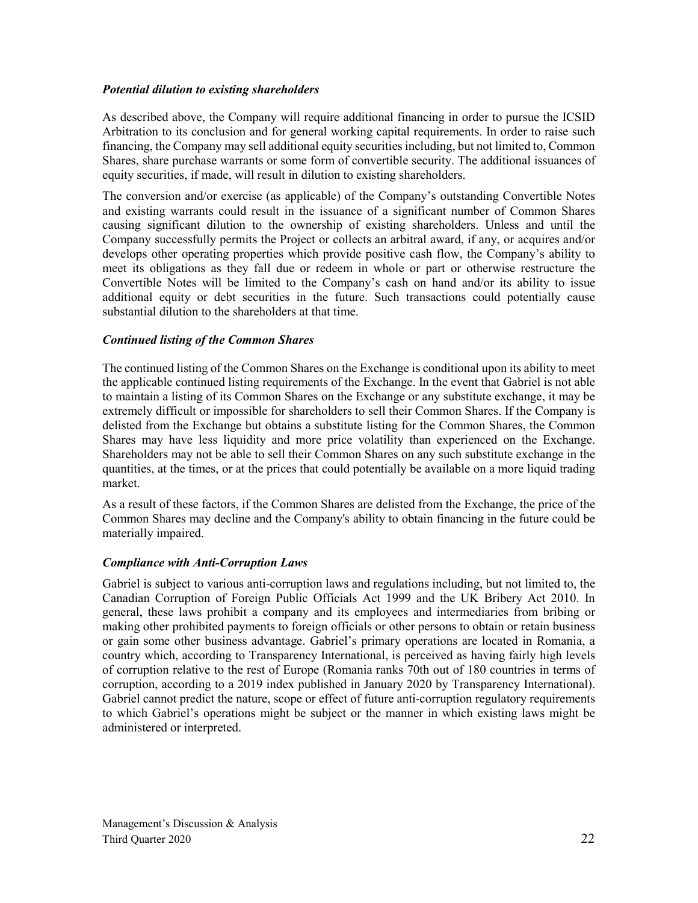#### *Potential dilution to existing shareholders*

As described above, the Company will require additional financing in order to pursue the ICSID Arbitration to its conclusion and for general working capital requirements. In order to raise such financing, the Company may sell additional equity securities including, but not limited to, Common Shares, share purchase warrants or some form of convertible security. The additional issuances of equity securities, if made, will result in dilution to existing shareholders.

The conversion and/or exercise (as applicable) of the Company's outstanding Convertible Notes and existing warrants could result in the issuance of a significant number of Common Shares causing significant dilution to the ownership of existing shareholders. Unless and until the Company successfully permits the Project or collects an arbitral award, if any, or acquires and/or develops other operating properties which provide positive cash flow, the Company's ability to meet its obligations as they fall due or redeem in whole or part or otherwise restructure the Convertible Notes will be limited to the Company's cash on hand and/or its ability to issue additional equity or debt securities in the future. Such transactions could potentially cause substantial dilution to the shareholders at that time.

#### *Continued listing of the Common Shares*

The continued listing of the Common Shares on the Exchange is conditional upon its ability to meet the applicable continued listing requirements of the Exchange. In the event that Gabriel is not able to maintain a listing of its Common Shares on the Exchange or any substitute exchange, it may be extremely difficult or impossible for shareholders to sell their Common Shares. If the Company is delisted from the Exchange but obtains a substitute listing for the Common Shares, the Common Shares may have less liquidity and more price volatility than experienced on the Exchange. Shareholders may not be able to sell their Common Shares on any such substitute exchange in the quantities, at the times, or at the prices that could potentially be available on a more liquid trading market.

As a result of these factors, if the Common Shares are delisted from the Exchange, the price of the Common Shares may decline and the Company's ability to obtain financing in the future could be materially impaired.

#### *Compliance with Anti-Corruption Laws*

Gabriel is subject to various anti-corruption laws and regulations including, but not limited to, the Canadian Corruption of Foreign Public Officials Act 1999 and the UK Bribery Act 2010. In general, these laws prohibit a company and its employees and intermediaries from bribing or making other prohibited payments to foreign officials or other persons to obtain or retain business or gain some other business advantage. Gabriel's primary operations are located in Romania, a country which, according to Transparency International, is perceived as having fairly high levels of corruption relative to the rest of Europe (Romania ranks 70th out of 180 countries in terms of corruption, according to a 2019 index published in January 2020 by Transparency International). Gabriel cannot predict the nature, scope or effect of future anti-corruption regulatory requirements to which Gabriel's operations might be subject or the manner in which existing laws might be administered or interpreted.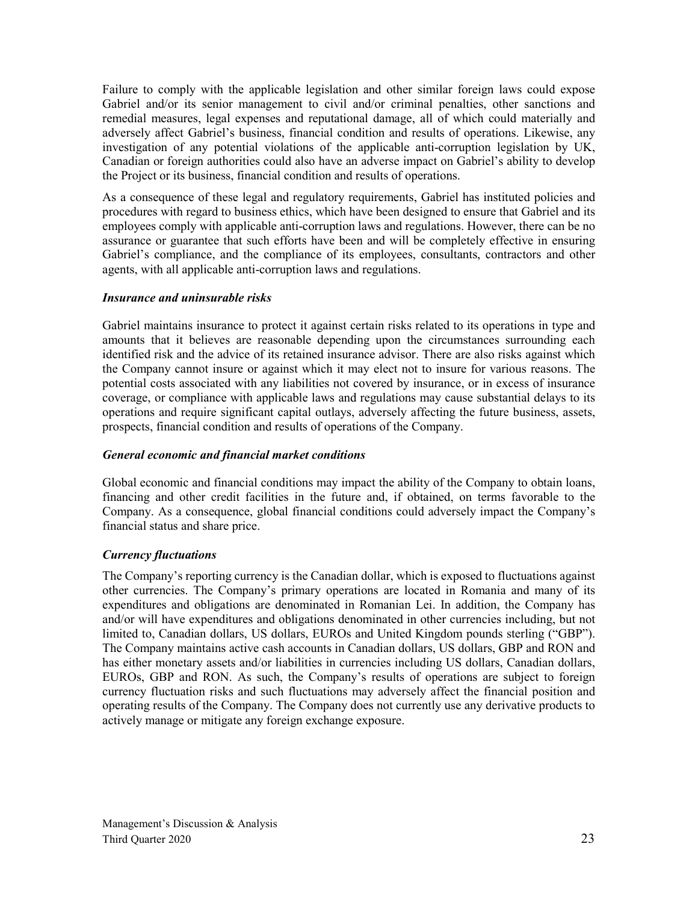Failure to comply with the applicable legislation and other similar foreign laws could expose Gabriel and/or its senior management to civil and/or criminal penalties, other sanctions and remedial measures, legal expenses and reputational damage, all of which could materially and adversely affect Gabriel's business, financial condition and results of operations. Likewise, any investigation of any potential violations of the applicable anti-corruption legislation by UK, Canadian or foreign authorities could also have an adverse impact on Gabriel's ability to develop the Project or its business, financial condition and results of operations.

As a consequence of these legal and regulatory requirements, Gabriel has instituted policies and procedures with regard to business ethics, which have been designed to ensure that Gabriel and its employees comply with applicable anti-corruption laws and regulations. However, there can be no assurance or guarantee that such efforts have been and will be completely effective in ensuring Gabriel's compliance, and the compliance of its employees, consultants, contractors and other agents, with all applicable anti-corruption laws and regulations.

#### *Insurance and uninsurable risks*

Gabriel maintains insurance to protect it against certain risks related to its operations in type and amounts that it believes are reasonable depending upon the circumstances surrounding each identified risk and the advice of its retained insurance advisor. There are also risks against which the Company cannot insure or against which it may elect not to insure for various reasons. The potential costs associated with any liabilities not covered by insurance, or in excess of insurance coverage, or compliance with applicable laws and regulations may cause substantial delays to its operations and require significant capital outlays, adversely affecting the future business, assets, prospects, financial condition and results of operations of the Company.

#### *General economic and financial market conditions*

Global economic and financial conditions may impact the ability of the Company to obtain loans, financing and other credit facilities in the future and, if obtained, on terms favorable to the Company. As a consequence, global financial conditions could adversely impact the Company's financial status and share price.

#### *Currency fluctuations*

The Company's reporting currency is the Canadian dollar, which is exposed to fluctuations against other currencies. The Company's primary operations are located in Romania and many of its expenditures and obligations are denominated in Romanian Lei. In addition, the Company has and/or will have expenditures and obligations denominated in other currencies including, but not limited to, Canadian dollars, US dollars, EUROs and United Kingdom pounds sterling ("GBP"). The Company maintains active cash accounts in Canadian dollars, US dollars, GBP and RON and has either monetary assets and/or liabilities in currencies including US dollars, Canadian dollars, EUROs, GBP and RON. As such, the Company's results of operations are subject to foreign currency fluctuation risks and such fluctuations may adversely affect the financial position and operating results of the Company. The Company does not currently use any derivative products to actively manage or mitigate any foreign exchange exposure.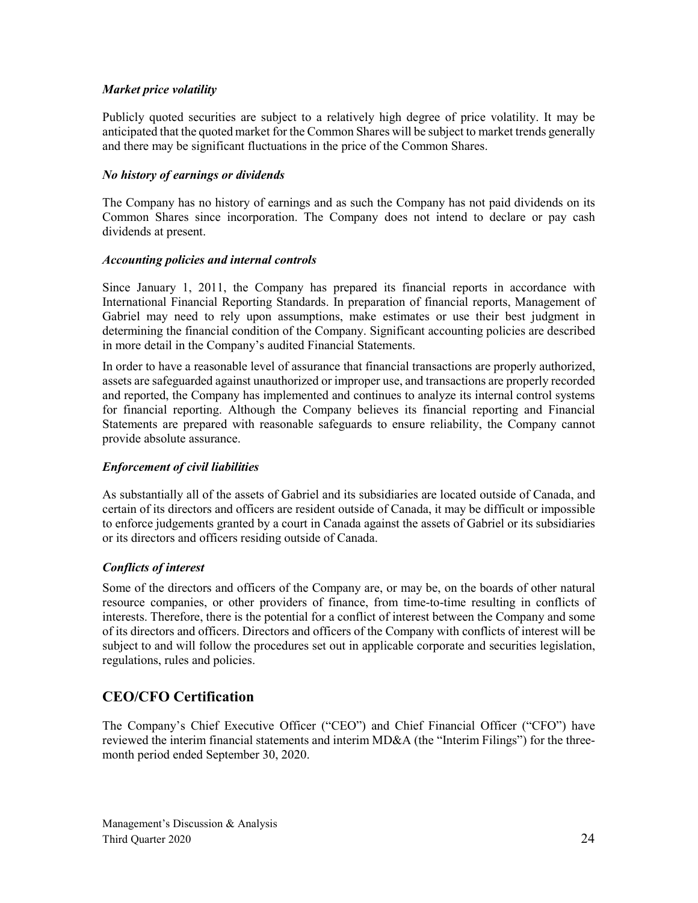#### *Market price volatility*

Publicly quoted securities are subject to a relatively high degree of price volatility. It may be anticipated that the quoted market for the Common Shares will be subject to market trends generally and there may be significant fluctuations in the price of the Common Shares.

#### *No history of earnings or dividends*

The Company has no history of earnings and as such the Company has not paid dividends on its Common Shares since incorporation. The Company does not intend to declare or pay cash dividends at present.

#### *Accounting policies and internal controls*

Since January 1, 2011, the Company has prepared its financial reports in accordance with International Financial Reporting Standards. In preparation of financial reports, Management of Gabriel may need to rely upon assumptions, make estimates or use their best judgment in determining the financial condition of the Company. Significant accounting policies are described in more detail in the Company's audited Financial Statements.

In order to have a reasonable level of assurance that financial transactions are properly authorized, assets are safeguarded against unauthorized or improper use, and transactions are properly recorded and reported, the Company has implemented and continues to analyze its internal control systems for financial reporting. Although the Company believes its financial reporting and Financial Statements are prepared with reasonable safeguards to ensure reliability, the Company cannot provide absolute assurance.

#### *Enforcement of civil liabilities*

As substantially all of the assets of Gabriel and its subsidiaries are located outside of Canada, and certain of its directors and officers are resident outside of Canada, it may be difficult or impossible to enforce judgements granted by a court in Canada against the assets of Gabriel or its subsidiaries or its directors and officers residing outside of Canada.

#### *Conflicts of interest*

Some of the directors and officers of the Company are, or may be, on the boards of other natural resource companies, or other providers of finance, from time-to-time resulting in conflicts of interests. Therefore, there is the potential for a conflict of interest between the Company and some of its directors and officers. Directors and officers of the Company with conflicts of interest will be subject to and will follow the procedures set out in applicable corporate and securities legislation, regulations, rules and policies.

## **CEO/CFO Certification**

The Company's Chief Executive Officer ("CEO") and Chief Financial Officer ("CFO") have reviewed the interim financial statements and interim MD&A (the "Interim Filings") for the threemonth period ended September 30, 2020.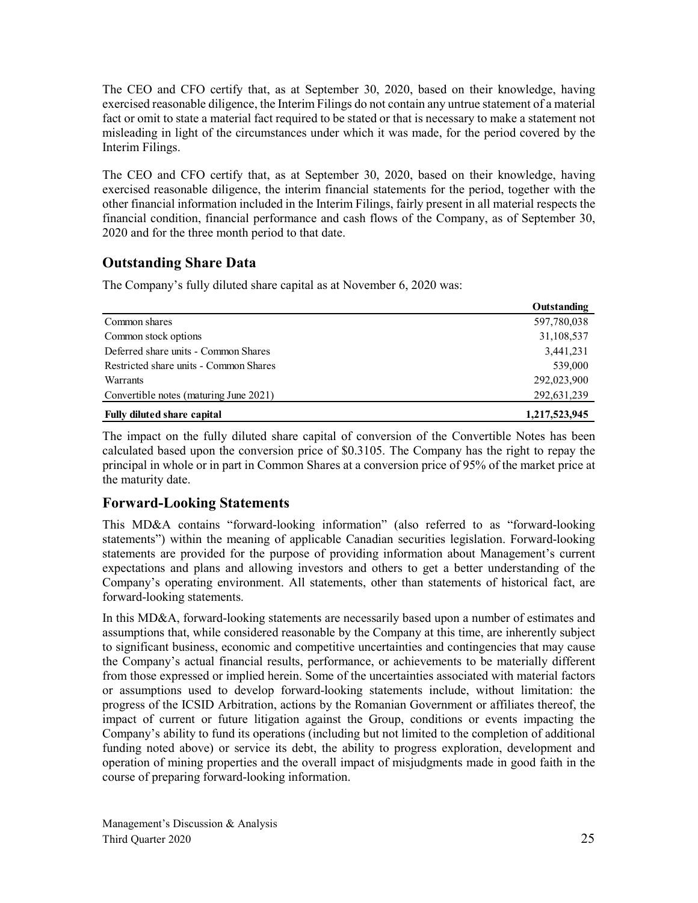The CEO and CFO certify that, as at September 30, 2020, based on their knowledge, having exercised reasonable diligence, the Interim Filings do not contain any untrue statement of a material fact or omit to state a material fact required to be stated or that is necessary to make a statement not misleading in light of the circumstances under which it was made, for the period covered by the Interim Filings.

The CEO and CFO certify that, as at September 30, 2020, based on their knowledge, having exercised reasonable diligence, the interim financial statements for the period, together with the other financial information included in the Interim Filings, fairly present in all material respects the financial condition, financial performance and cash flows of the Company, as of September 30, 2020 and for the three month period to that date.

## **Outstanding Share Data**

The Company's fully diluted share capital as at November 6, 2020 was:

|                                        | Outstanding   |
|----------------------------------------|---------------|
| Common shares                          | 597,780,038   |
| Common stock options                   | 31,108,537    |
| Deferred share units - Common Shares   | 3,441,231     |
| Restricted share units - Common Shares | 539,000       |
| Warrants                               | 292,023,900   |
| Convertible notes (maturing June 2021) | 292,631,239   |
| <b>Fully diluted share capital</b>     | 1,217,523,945 |

The impact on the fully diluted share capital of conversion of the Convertible Notes has been calculated based upon the conversion price of \$0.3105. The Company has the right to repay the principal in whole or in part in Common Shares at a conversion price of 95% of the market price at the maturity date.

## **Forward-Looking Statements**

This MD&A contains "forward-looking information" (also referred to as "forward-looking statements") within the meaning of applicable Canadian securities legislation. Forward-looking statements are provided for the purpose of providing information about Management's current expectations and plans and allowing investors and others to get a better understanding of the Company's operating environment. All statements, other than statements of historical fact, are forward-looking statements.

In this MD&A, forward-looking statements are necessarily based upon a number of estimates and assumptions that, while considered reasonable by the Company at this time, are inherently subject to significant business, economic and competitive uncertainties and contingencies that may cause the Company's actual financial results, performance, or achievements to be materially different from those expressed or implied herein. Some of the uncertainties associated with material factors or assumptions used to develop forward-looking statements include, without limitation: the progress of the ICSID Arbitration, actions by the Romanian Government or affiliates thereof, the impact of current or future litigation against the Group, conditions or events impacting the Company's ability to fund its operations (including but not limited to the completion of additional funding noted above) or service its debt, the ability to progress exploration, development and operation of mining properties and the overall impact of misjudgments made in good faith in the course of preparing forward-looking information.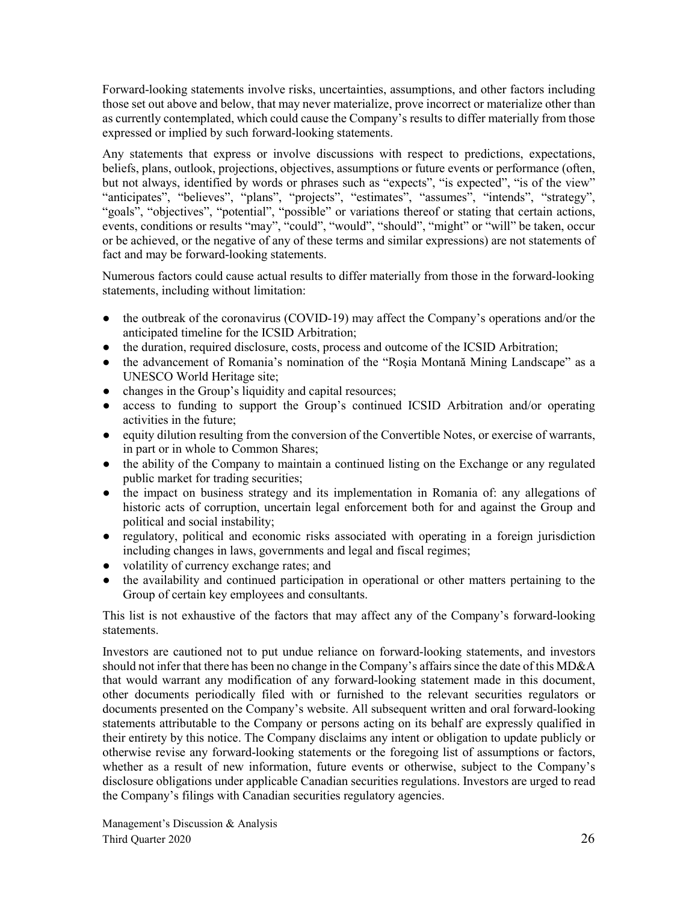Forward-looking statements involve risks, uncertainties, assumptions, and other factors including those set out above and below, that may never materialize, prove incorrect or materialize other than as currently contemplated, which could cause the Company's results to differ materially from those expressed or implied by such forward-looking statements.

Any statements that express or involve discussions with respect to predictions, expectations, beliefs, plans, outlook, projections, objectives, assumptions or future events or performance (often, but not always, identified by words or phrases such as "expects", "is expected", "is of the view" "anticipates", "believes", "plans", "projects", "estimates", "assumes", "intends", "strategy", "goals", "objectives", "potential", "possible" or variations thereof or stating that certain actions, events, conditions or results "may", "could", "would", "should", "might" or "will" be taken, occur or be achieved, or the negative of any of these terms and similar expressions) are not statements of fact and may be forward-looking statements.

Numerous factors could cause actual results to differ materially from those in the forward-looking statements, including without limitation:

- the outbreak of the coronavirus (COVID-19) may affect the Company's operations and/or the anticipated timeline for the ICSID Arbitration;
- the duration, required disclosure, costs, process and outcome of the ICSID Arbitration;
- the advancement of Romania's nomination of the "Roşia Montană Mining Landscape" as a UNESCO World Heritage site;
- changes in the Group's liquidity and capital resources;
- access to funding to support the Group's continued ICSID Arbitration and/or operating activities in the future;
- equity dilution resulting from the conversion of the Convertible Notes, or exercise of warrants, in part or in whole to Common Shares;
- the ability of the Company to maintain a continued listing on the Exchange or any regulated public market for trading securities;
- the impact on business strategy and its implementation in Romania of: any allegations of historic acts of corruption, uncertain legal enforcement both for and against the Group and political and social instability;
- regulatory, political and economic risks associated with operating in a foreign jurisdiction including changes in laws, governments and legal and fiscal regimes;
- volatility of currency exchange rates; and
- the availability and continued participation in operational or other matters pertaining to the Group of certain key employees and consultants.

This list is not exhaustive of the factors that may affect any of the Company's forward-looking statements.

Investors are cautioned not to put undue reliance on forward-looking statements, and investors should not infer that there has been no change in the Company's affairs since the date of this MD&A that would warrant any modification of any forward-looking statement made in this document, other documents periodically filed with or furnished to the relevant securities regulators or documents presented on the Company's website. All subsequent written and oral forward-looking statements attributable to the Company or persons acting on its behalf are expressly qualified in their entirety by this notice. The Company disclaims any intent or obligation to update publicly or otherwise revise any forward-looking statements or the foregoing list of assumptions or factors, whether as a result of new information, future events or otherwise, subject to the Company's disclosure obligations under applicable Canadian securities regulations. Investors are urged to read the Company's filings with Canadian securities regulatory agencies.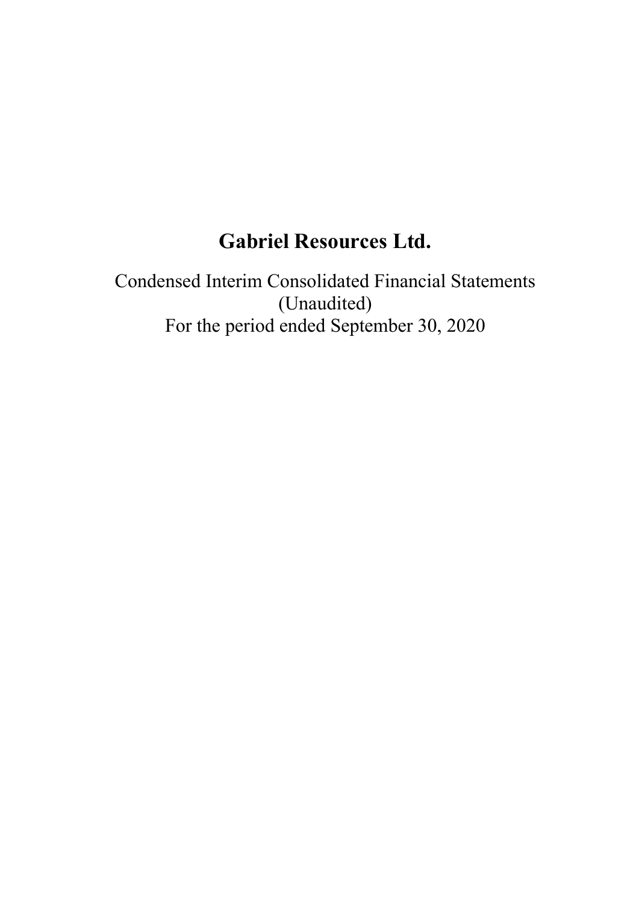# **Gabriel Resources Ltd.**

Condensed Interim Consolidated Financial Statements (Unaudited) For the period ended September 30, 2020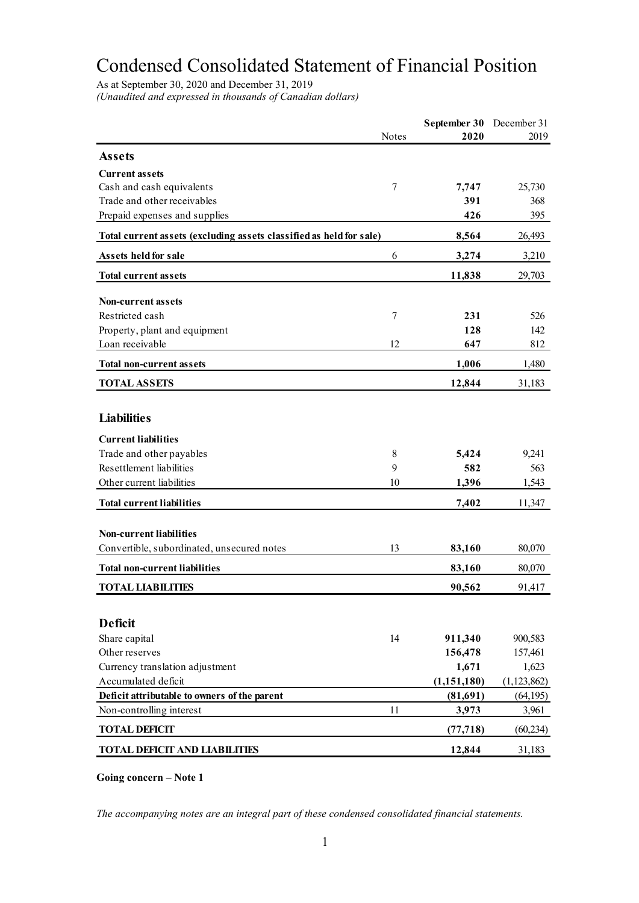# Condensed Consolidated Statement of Financial Position

As at September 30, 2020 and December 31, 2019 *(Unaudited and expressed in thousands of Canadian dollars)*

|                                                                     |        | September 30 | December 31   |
|---------------------------------------------------------------------|--------|--------------|---------------|
|                                                                     | Notes  | 2020         | 2019          |
| <b>Assets</b>                                                       |        |              |               |
| <b>Current assets</b>                                               |        |              |               |
| Cash and cash equivalents                                           | 7      | 7,747        | 25,730        |
| Trade and other receivables                                         |        | 391          | 368           |
| Prepaid expenses and supplies                                       |        | 426          | 395           |
| Total current assets (excluding assets classified as held for sale) |        | 8,564        | 26,493        |
| Assets held for sale                                                | 6      | 3,274        | 3,210         |
| <b>Total current assets</b>                                         |        | 11,838       | 29,703        |
|                                                                     |        |              |               |
| <b>Non-current assets</b>                                           |        |              |               |
| Restricted cash                                                     | $\tau$ | 231          | 526           |
| Property, plant and equipment                                       |        | 128          | 142           |
| Loan receivable                                                     | 12     | 647          | 812           |
| <b>Total non-current assets</b>                                     |        | 1,006        | 1,480         |
| <b>TOTAL ASSETS</b>                                                 |        | 12,844       | 31,183        |
|                                                                     |        |              |               |
| <b>Liabilities</b>                                                  |        |              |               |
| <b>Current liabilities</b>                                          |        |              |               |
| Trade and other payables                                            | 8      | 5,424        | 9,241         |
| Resettlement liabilities                                            | 9      | 582          | 563           |
| Other current liabilities                                           | 10     | 1,396        | 1,543         |
| <b>Total current liabilities</b>                                    |        | 7,402        | 11,347        |
|                                                                     |        |              |               |
| <b>Non-current liabilities</b>                                      |        |              |               |
| Convertible, subordinated, unsecured notes                          | 13     | 83,160       | 80,070        |
| <b>Total non-current liabilities</b>                                |        | 83,160       | 80,070        |
| <b>TOTAL LIABILITIES</b>                                            |        | 90,562       | 91,417        |
|                                                                     |        |              |               |
| <b>Deficit</b>                                                      |        |              |               |
| Share capital                                                       | 14     | 911,340      | 900,583       |
| Other reserves                                                      |        | 156,478      | 157,461       |
| Currency translation adjustment                                     |        | 1,671        | 1,623         |
| Accumulated deficit                                                 |        | (1,151,180)  | (1, 123, 862) |
| Deficit attributable to owners of the parent                        |        | (81,691)     | (64, 195)     |
| Non-controlling interest                                            | 11     | 3,973        | 3,961         |
| <b>TOTAL DEFICIT</b>                                                |        | (77, 718)    | (60, 234)     |
| <b>TOTAL DEFICIT AND LIABILITIES</b>                                |        | 12,844       | 31,183        |

**Going concern – Note 1**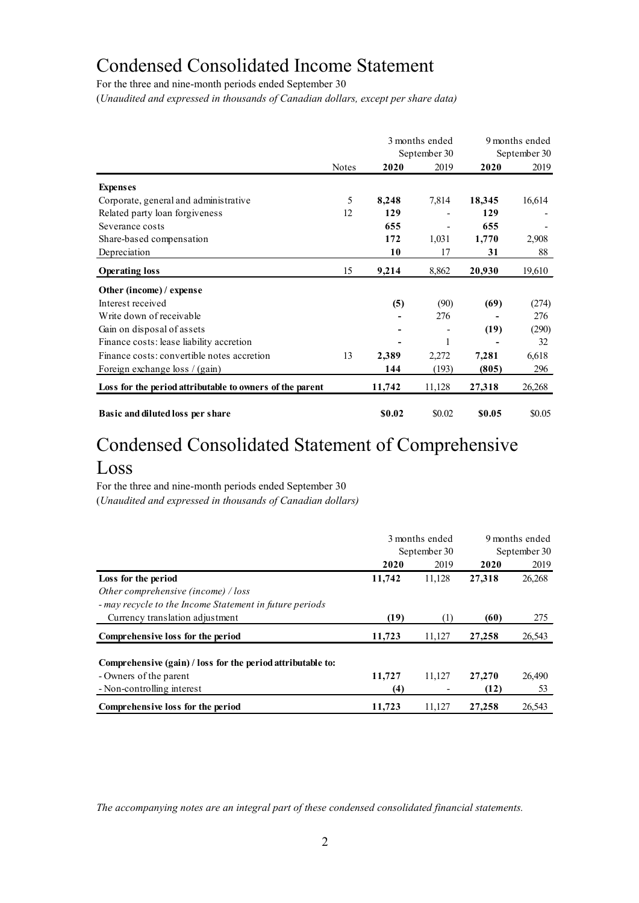## Condensed Consolidated Income Statement

For the three and nine-month periods ended September 30

(*Unaudited and expressed in thousands of Canadian dollars, except per share data)*

|                                                          |              |        | 3 months ended<br>September 30 |        | 9 months ended<br>September 30 |
|----------------------------------------------------------|--------------|--------|--------------------------------|--------|--------------------------------|
|                                                          | <b>Notes</b> | 2020   | 2019                           | 2020   | 2019                           |
| <b>Expenses</b>                                          |              |        |                                |        |                                |
| Corporate, general and administrative                    | 5            | 8,248  | 7,814                          | 18,345 | 16,614                         |
| Related party loan forgiveness                           | 12           | 129    |                                | 129    |                                |
| Severance costs                                          |              | 655    |                                | 655    |                                |
| Share-based compensation                                 |              | 172    | 1,031                          | 1,770  | 2,908                          |
| Depreciation                                             |              | 10     | 17                             | 31     | 88                             |
| <b>Operating loss</b>                                    | 15           | 9,214  | 8,862                          | 20,930 | 19,610                         |
| Other (income) / expense                                 |              |        |                                |        |                                |
| Interest received                                        |              | (5)    | (90)                           | (69)   | (274)                          |
| Write down of receivable                                 |              |        | 276                            |        | 276                            |
| Gain on disposal of assets                               |              |        |                                | (19)   | (290)                          |
| Finance costs: lease liability accretion                 |              |        | 1                              |        | 32                             |
| Finance costs: convertible notes accretion               | 13           | 2,389  | 2,272                          | 7,281  | 6,618                          |
| Foreign exchange loss / (gain)                           |              | 144    | (193)                          | (805)  | 296                            |
| Loss for the period attributable to owners of the parent |              | 11,742 | 11,128                         | 27,318 | 26,268                         |
| Basic and diluted loss per share                         |              | \$0.02 | \$0.02                         | \$0.05 | \$0.05                         |

## Condensed Consolidated Statement of Comprehensive Loss

For the three and nine-month periods ended September 30

(*Unaudited and expressed in thousands of Canadian dollars)*

|                                                                                       |        | 3 months ended | 9 months ended<br>September 30 |        |  |
|---------------------------------------------------------------------------------------|--------|----------------|--------------------------------|--------|--|
|                                                                                       |        | September 30   |                                |        |  |
|                                                                                       | 2020   | 2019           | 2020                           | 2019   |  |
| Loss for the period                                                                   | 11,742 | 11,128         | 27,318                         | 26,268 |  |
| Other comprehensive (income) / loss                                                   |        |                |                                |        |  |
| - may recycle to the Income Statement in future periods                               |        |                |                                |        |  |
| Currency translation adjustment                                                       | (19)   | (1)            | (60)                           | 275    |  |
| Comprehensive loss for the period                                                     | 11,723 | 11,127         | 27,258                         | 26,543 |  |
| Comprehensive (gain) / loss for the period attributable to:<br>- Owners of the parent | 11,727 | 11.127         | 27,270                         | 26,490 |  |
| - Non-controlling interest                                                            | (4)    |                | (12)                           | 53     |  |
| Comprehensive loss for the period                                                     | 11,723 | 11.127         | 27,258                         | 26.543 |  |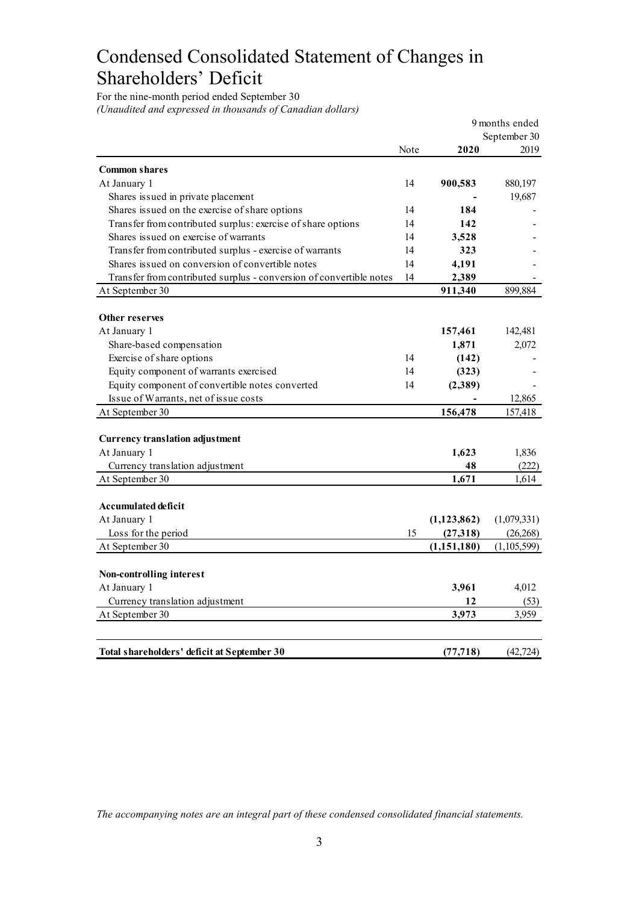# Condensed Consolidated Statement of Changes in Shareholders' Deficit

For the nine-month period ended September 30 *(Unaudited and expressed in thousands of Canadian dollars)*

|                                                                     |      |               | 9 months ended |
|---------------------------------------------------------------------|------|---------------|----------------|
|                                                                     |      |               | September 30   |
|                                                                     | Note | 2020          | 2019           |
| <b>Common shares</b>                                                |      |               |                |
| At January 1                                                        | 14   | 900,583       | 880,197        |
| Shares issued in private placement                                  |      |               | 19,687         |
| Shares issued on the exercise of share options                      | 14   | 184           |                |
| Transfer from contributed surplus: exercise of share options        | 14   | 142           |                |
| Shares issued on exercise of warrants                               | 14   | 3,528         |                |
| Transfer from contributed surplus - exercise of warrants            | 14   | 323           |                |
| Shares issued on conversion of convertible notes                    | 14   | 4,191         |                |
| Transfer from contributed surplus - conversion of convertible notes | 14   | 2,389         |                |
| At September 30                                                     |      | 911,340       | 899,884        |
|                                                                     |      |               |                |
| Other reserves                                                      |      |               |                |
| At January 1                                                        |      | 157,461       | 142,481        |
| Share-based compensation                                            |      | 1,871         | 2,072          |
| Exercise of share options                                           | 14   | (142)         |                |
| Equity component of warrants exercised                              | 14   | (323)         |                |
| Equity component of convertible notes converted                     | 14   | (2,389)       |                |
| Issue of Warrants, net of issue costs                               |      |               | 12,865         |
| At September 30                                                     |      | 156,478       | 157,418        |
|                                                                     |      |               |                |
| <b>Currency translation adjustment</b>                              |      |               |                |
| At January 1                                                        |      | 1,623         | 1,836          |
| Currency translation adjustment                                     |      | 48            | (222)          |
| At September 30                                                     |      | 1,671         | 1,614          |
|                                                                     |      |               |                |
| <b>Accumulated deficit</b>                                          |      |               |                |
| At January 1                                                        |      | (1, 123, 862) | (1,079,331)    |
| Loss for the period                                                 | 15   | (27,318)      | (26, 268)      |
| At September 30                                                     |      | (1,151,180)   | (1,105,599)    |
|                                                                     |      |               |                |
| Non-controlling interest                                            |      |               |                |
| At January 1                                                        |      | 3,961         | 4,012          |
| Currency translation adjustment                                     |      | 12            | (53)           |
| At September 30                                                     |      | 3,973         | 3,959          |
|                                                                     |      |               |                |
| Total shareholders' deficit at September 30                         |      | (77, 718)     | (42, 724)      |
|                                                                     |      |               |                |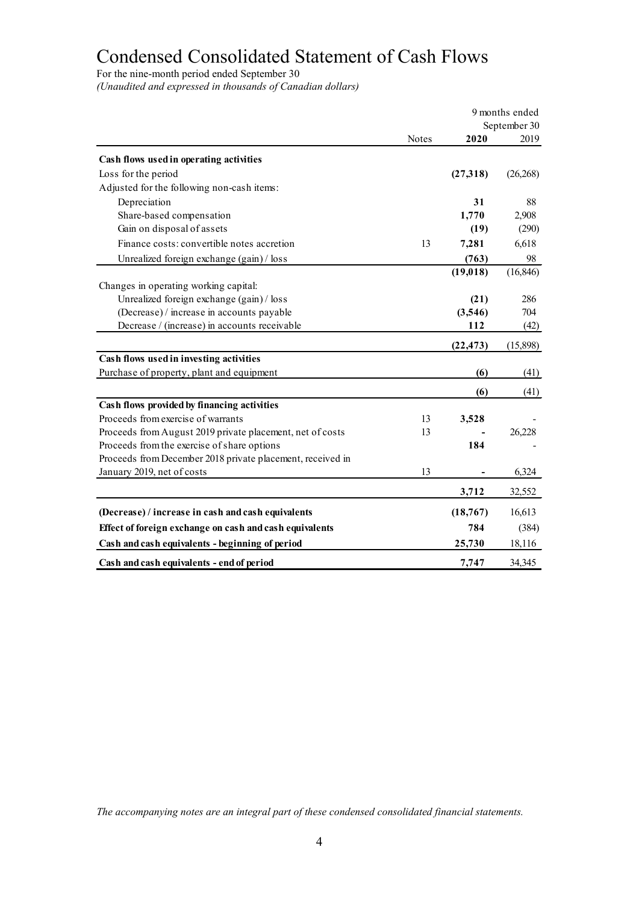# Condensed Consolidated Statement of Cash Flows

For the nine-month period ended September 30

*(Unaudited and expressed in thousands of Canadian dollars)*

|                                                            | 9 months ended |           |              |
|------------------------------------------------------------|----------------|-----------|--------------|
|                                                            |                |           | September 30 |
|                                                            | <b>Notes</b>   | 2020      | 2019         |
| Cash flows used in operating activities                    |                |           |              |
| Loss for the period                                        |                | (27,318)  | (26, 268)    |
| Adjusted for the following non-cash items:                 |                |           |              |
| Depreciation                                               |                | 31        | 88           |
| Share-based compensation                                   |                | 1,770     | 2,908        |
| Gain on disposal of assets                                 |                | (19)      | (290)        |
| Finance costs: convertible notes accretion                 | 13             | 7,281     | 6,618        |
| Unrealized foreign exchange (gain) / loss                  |                | (763)     | 98           |
|                                                            |                | (19, 018) | (16, 846)    |
| Changes in operating working capital:                      |                |           |              |
| Unrealized foreign exchange (gain) / loss                  |                | (21)      | 286          |
| (Decrease) / increase in accounts payable                  |                | (3,546)   | 704          |
| Decrease / (increase) in accounts receivable               |                | 112       | (42)         |
|                                                            |                | (22, 473) | (15,898)     |
| Cash flows used in investing activities                    |                |           |              |
| Purchase of property, plant and equipment                  |                | (6)       | (41)         |
|                                                            |                | (6)       | (41)         |
| Cash flows provided by financing activities                |                |           |              |
| Proceeds from exercise of warrants                         | 13             | 3,528     |              |
| Proceeds from August 2019 private placement, net of costs  | 13             |           | 26,228       |
| Proceeds from the exercise of share options                |                | 184       |              |
| Proceeds from December 2018 private placement, received in |                |           |              |
| January 2019, net of costs                                 | 13             |           | 6,324        |
|                                                            |                | 3,712     | 32,552       |
| (Decrease) / increase in cash and cash equivalents         |                | (18, 767) | 16,613       |
| Effect of foreign exchange on cash and cash equivalents    |                | 784       | (384)        |
| Cash and cash equivalents - beginning of period            |                | 25,730    | 18,116       |
| Cash and cash equivalents - end of period                  |                | 7,747     | 34,345       |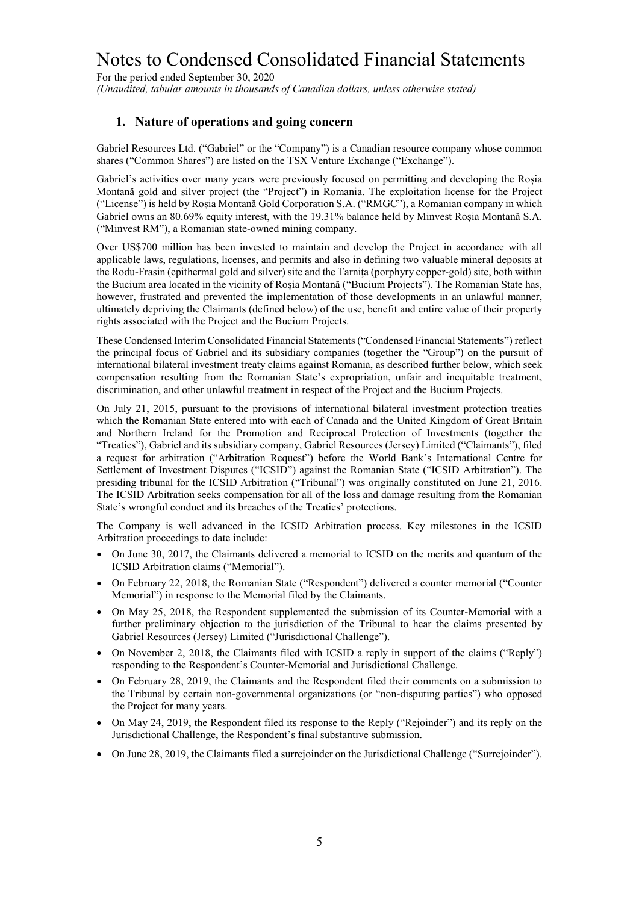For the period ended September 30, 2020 *(Unaudited, tabular amounts in thousands of Canadian dollars, unless otherwise stated)*

#### **1. Nature of operations and going concern**

Gabriel Resources Ltd. ("Gabriel" or the "Company") is a Canadian resource company whose common shares ("Common Shares") are listed on the TSX Venture Exchange ("Exchange").

Gabriel's activities over many years were previously focused on permitting and developing the Roșia Montană gold and silver project (the "Project") in Romania. The exploitation license for the Project ("License") is held by Roșia Montană Gold Corporation S.A. ("RMGC"), a Romanian company in which Gabriel owns an 80.69% equity interest, with the 19.31% balance held by Minvest Roșia Montană S.A. ("Minvest RM"), a Romanian state-owned mining company.

Over US\$700 million has been invested to maintain and develop the Project in accordance with all applicable laws, regulations, licenses, and permits and also in defining two valuable mineral deposits at the Rodu-Frasin (epithermal gold and silver) site and the Tarniţa (porphyry copper-gold) site, both within the Bucium area located in the vicinity of Roşia Montană ("Bucium Projects"). The Romanian State has, however, frustrated and prevented the implementation of those developments in an unlawful manner, ultimately depriving the Claimants (defined below) of the use, benefit and entire value of their property rights associated with the Project and the Bucium Projects.

These Condensed Interim Consolidated Financial Statements ("Condensed Financial Statements") reflect the principal focus of Gabriel and its subsidiary companies (together the "Group") on the pursuit of international bilateral investment treaty claims against Romania, as described further below, which seek compensation resulting from the Romanian State's expropriation, unfair and inequitable treatment, discrimination, and other unlawful treatment in respect of the Project and the Bucium Projects.

On July 21, 2015, pursuant to the provisions of international bilateral investment protection treaties which the Romanian State entered into with each of Canada and the United Kingdom of Great Britain and Northern Ireland for the Promotion and Reciprocal Protection of Investments (together the "Treaties"), Gabriel and its subsidiary company, Gabriel Resources (Jersey) Limited ("Claimants"), filed a request for arbitration ("Arbitration Request") before the World Bank's International Centre for Settlement of Investment Disputes ("ICSID") against the Romanian State ("ICSID Arbitration"). The presiding tribunal for the ICSID Arbitration ("Tribunal") was originally constituted on June 21, 2016. The ICSID Arbitration seeks compensation for all of the loss and damage resulting from the Romanian State's wrongful conduct and its breaches of the Treaties' protections.

The Company is well advanced in the ICSID Arbitration process. Key milestones in the ICSID Arbitration proceedings to date include:

- On June 30, 2017, the Claimants delivered a memorial to ICSID on the merits and quantum of the ICSID Arbitration claims ("Memorial").
- On February 22, 2018, the Romanian State ("Respondent") delivered a counter memorial ("Counter Memorial") in response to the Memorial filed by the Claimants.
- On May 25, 2018, the Respondent supplemented the submission of its Counter-Memorial with a further preliminary objection to the jurisdiction of the Tribunal to hear the claims presented by Gabriel Resources (Jersey) Limited ("Jurisdictional Challenge").
- On November 2, 2018, the Claimants filed with ICSID a reply in support of the claims ("Reply") responding to the Respondent's Counter-Memorial and Jurisdictional Challenge.
- On February 28, 2019, the Claimants and the Respondent filed their comments on a submission to the Tribunal by certain non-governmental organizations (or "non-disputing parties") who opposed the Project for many years.
- On May 24, 2019, the Respondent filed its response to the Reply ("Rejoinder") and its reply on the Jurisdictional Challenge, the Respondent's final substantive submission.
- On June 28, 2019, the Claimants filed a surrejoinder on the Jurisdictional Challenge ("Surrejoinder").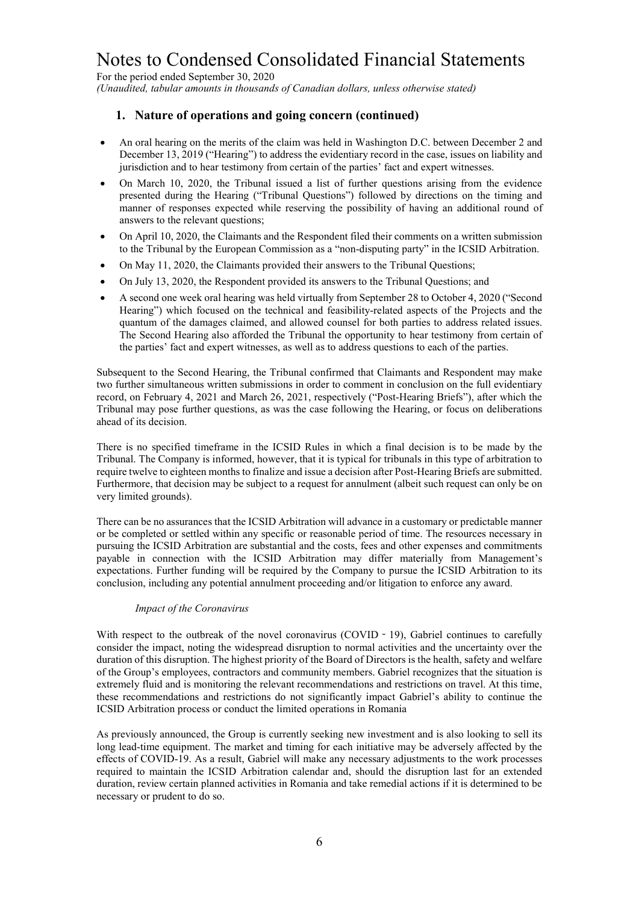For the period ended September 30, 2020 *(Unaudited, tabular amounts in thousands of Canadian dollars, unless otherwise stated)*

#### **1. Nature of operations and going concern (continued)**

- An oral hearing on the merits of the claim was held in Washington D.C. between December 2 and December 13, 2019 ("Hearing") to address the evidentiary record in the case, issues on liability and jurisdiction and to hear testimony from certain of the parties' fact and expert witnesses.
- On March 10, 2020, the Tribunal issued a list of further questions arising from the evidence presented during the Hearing ("Tribunal Questions") followed by directions on the timing and manner of responses expected while reserving the possibility of having an additional round of answers to the relevant questions;
- On April 10, 2020, the Claimants and the Respondent filed their comments on a written submission to the Tribunal by the European Commission as a "non-disputing party" in the ICSID Arbitration.
- On May 11, 2020, the Claimants provided their answers to the Tribunal Questions;
- On July 13, 2020, the Respondent provided its answers to the Tribunal Questions; and
- A second one week oral hearing was held virtually from September 28 to October 4, 2020 ("Second Hearing") which focused on the technical and feasibility-related aspects of the Projects and the quantum of the damages claimed, and allowed counsel for both parties to address related issues. The Second Hearing also afforded the Tribunal the opportunity to hear testimony from certain of the parties' fact and expert witnesses, as well as to address questions to each of the parties.

Subsequent to the Second Hearing, the Tribunal confirmed that Claimants and Respondent may make two further simultaneous written submissions in order to comment in conclusion on the full evidentiary record, on February 4, 2021 and March 26, 2021, respectively ("Post-Hearing Briefs"), after which the Tribunal may pose further questions, as was the case following the Hearing, or focus on deliberations ahead of its decision.

There is no specified timeframe in the ICSID Rules in which a final decision is to be made by the Tribunal. The Company is informed, however, that it is typical for tribunals in this type of arbitration to require twelve to eighteen months to finalize and issue a decision after Post-Hearing Briefs are submitted. Furthermore, that decision may be subject to a request for annulment (albeit such request can only be on very limited grounds).

There can be no assurances that the ICSID Arbitration will advance in a customary or predictable manner or be completed or settled within any specific or reasonable period of time. The resources necessary in pursuing the ICSID Arbitration are substantial and the costs, fees and other expenses and commitments payable in connection with the ICSID Arbitration may differ materially from Management's expectations. Further funding will be required by the Company to pursue the ICSID Arbitration to its conclusion, including any potential annulment proceeding and/or litigation to enforce any award.

#### *Impact of the Coronavirus*

With respect to the outbreak of the novel coronavirus (COVID - 19), Gabriel continues to carefully consider the impact, noting the widespread disruption to normal activities and the uncertainty over the duration of this disruption. The highest priority of the Board of Directors is the health, safety and welfare of the Group's employees, contractors and community members. Gabriel recognizes that the situation is extremely fluid and is monitoring the relevant recommendations and restrictions on travel. At this time, these recommendations and restrictions do not significantly impact Gabriel's ability to continue the ICSID Arbitration process or conduct the limited operations in Romania

As previously announced, the Group is currently seeking new investment and is also looking to sell its long lead-time equipment. The market and timing for each initiative may be adversely affected by the effects of COVID-19. As a result, Gabriel will make any necessary adjustments to the work processes required to maintain the ICSID Arbitration calendar and, should the disruption last for an extended duration, review certain planned activities in Romania and take remedial actions if it is determined to be necessary or prudent to do so.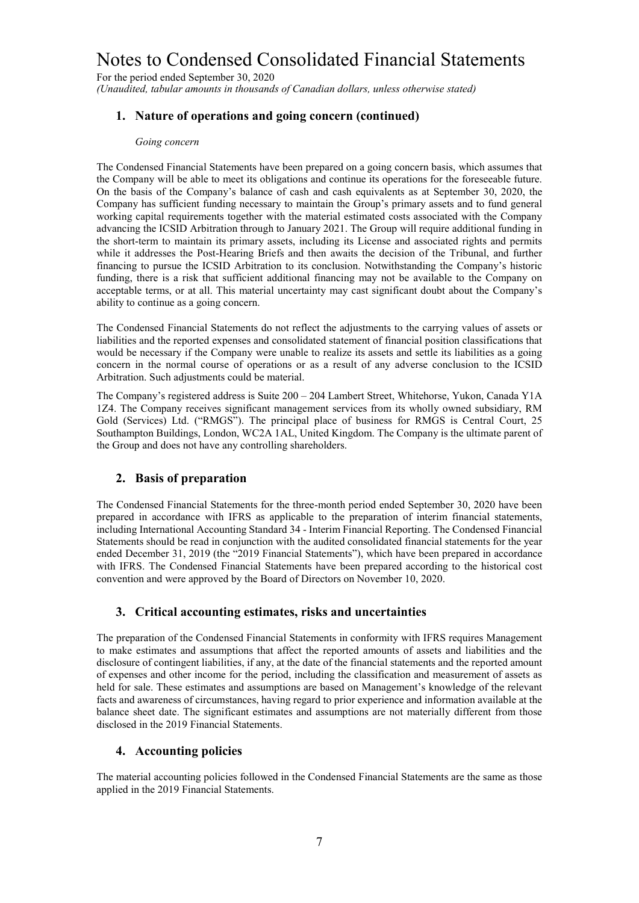For the period ended September 30, 2020 *(Unaudited, tabular amounts in thousands of Canadian dollars, unless otherwise stated)*

#### **1. Nature of operations and going concern (continued)**

#### *Going concern*

The Condensed Financial Statements have been prepared on a going concern basis, which assumes that the Company will be able to meet its obligations and continue its operations for the foreseeable future. On the basis of the Company's balance of cash and cash equivalents as at September 30, 2020, the Company has sufficient funding necessary to maintain the Group's primary assets and to fund general working capital requirements together with the material estimated costs associated with the Company advancing the ICSID Arbitration through to January 2021. The Group will require additional funding in the short-term to maintain its primary assets, including its License and associated rights and permits while it addresses the Post-Hearing Briefs and then awaits the decision of the Tribunal, and further financing to pursue the ICSID Arbitration to its conclusion. Notwithstanding the Company's historic funding, there is a risk that sufficient additional financing may not be available to the Company on acceptable terms, or at all. This material uncertainty may cast significant doubt about the Company's ability to continue as a going concern.

The Condensed Financial Statements do not reflect the adjustments to the carrying values of assets or liabilities and the reported expenses and consolidated statement of financial position classifications that would be necessary if the Company were unable to realize its assets and settle its liabilities as a going concern in the normal course of operations or as a result of any adverse conclusion to the ICSID Arbitration. Such adjustments could be material.

The Company's registered address is Suite 200 – 204 Lambert Street, Whitehorse, Yukon, Canada Y1A 1Z4. The Company receives significant management services from its wholly owned subsidiary, RM Gold (Services) Ltd. ("RMGS"). The principal place of business for RMGS is Central Court, 25 Southampton Buildings, London, WC2A 1AL, United Kingdom. The Company is the ultimate parent of the Group and does not have any controlling shareholders.

#### **2. Basis of preparation**

The Condensed Financial Statements for the three-month period ended September 30, 2020 have been prepared in accordance with IFRS as applicable to the preparation of interim financial statements, including International Accounting Standard 34 - Interim Financial Reporting. The Condensed Financial Statements should be read in conjunction with the audited consolidated financial statements for the year ended December 31, 2019 (the "2019 Financial Statements"), which have been prepared in accordance with IFRS. The Condensed Financial Statements have been prepared according to the historical cost convention and were approved by the Board of Directors on November 10, 2020.

#### **3. Critical accounting estimates, risks and uncertainties**

The preparation of the Condensed Financial Statements in conformity with IFRS requires Management to make estimates and assumptions that affect the reported amounts of assets and liabilities and the disclosure of contingent liabilities, if any, at the date of the financial statements and the reported amount of expenses and other income for the period, including the classification and measurement of assets as held for sale. These estimates and assumptions are based on Management's knowledge of the relevant facts and awareness of circumstances, having regard to prior experience and information available at the balance sheet date. The significant estimates and assumptions are not materially different from those disclosed in the 2019 Financial Statements.

#### **4. Accounting policies**

The material accounting policies followed in the Condensed Financial Statements are the same as those applied in the 2019 Financial Statements.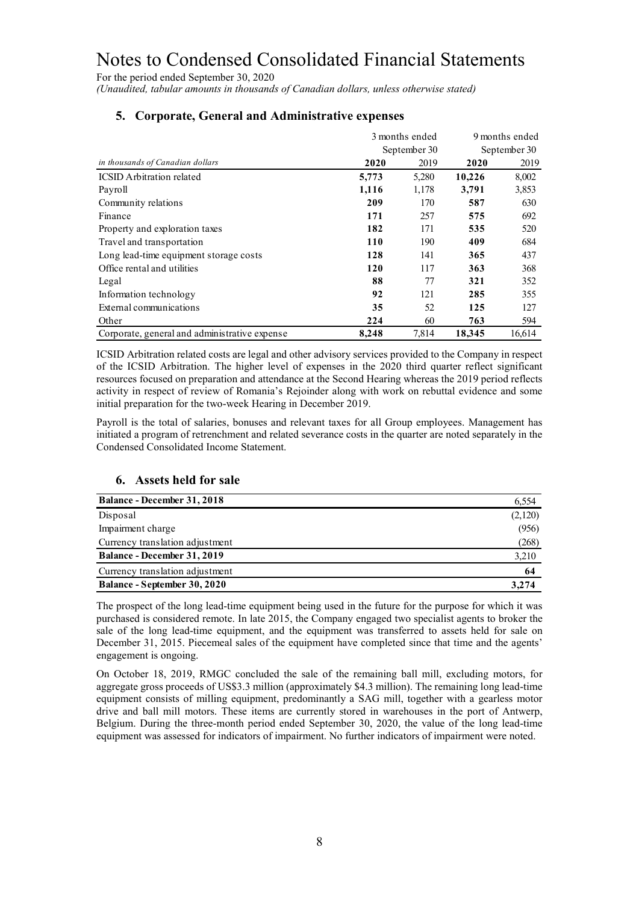For the period ended September 30, 2020 *(Unaudited, tabular amounts in thousands of Canadian dollars, unless otherwise stated)*

| 3 months ended                                |              |       | 9 months ended |              |
|-----------------------------------------------|--------------|-------|----------------|--------------|
|                                               | September 30 |       |                | September 30 |
| in thousands of Canadian dollars              | 2020         | 2019  | 2020           | 2019         |
| <b>ICSID</b> Arbitration related              | 5,773        | 5,280 | 10,226         | 8,002        |
| Payroll                                       | 1,116        | 1,178 | 3,791          | 3,853        |
| Community relations                           | 209          | 170   | 587            | 630          |
| Finance                                       | 171          | 257   | 575            | 692          |
| Property and exploration taxes                | 182          | 171   | 535            | 520          |
| Travel and transportation                     | 110          | 190   | 409            | 684          |
| Long lead-time equipment storage costs        | 128          | 141   | 365            | 437          |
| Office rental and utilities                   | 120          | 117   | 363            | 368          |
| Legal                                         | 88           | 77    | 321            | 352          |
| Information technology                        | 92           | 121   | 285            | 355          |
| External communications                       | 35           | 52    | 125            | 127          |
| Other                                         | 224          | 60    | 763            | 594          |
| Corporate, general and administrative expense | 8,248        | 7,814 | 18,345         | 16,614       |

## **5. Corporate, General and Administrative expenses**

ICSID Arbitration related costs are legal and other advisory services provided to the Company in respect of the ICSID Arbitration. The higher level of expenses in the 2020 third quarter reflect significant resources focused on preparation and attendance at the Second Hearing whereas the 2019 period reflects activity in respect of review of Romania's Rejoinder along with work on rebuttal evidence and some initial preparation for the two-week Hearing in December 2019.

Payroll is the total of salaries, bonuses and relevant taxes for all Group employees. Management has initiated a program of retrenchment and related severance costs in the quarter are noted separately in the Condensed Consolidated Income Statement.

### **6. Assets held for sale**

| <b>Balance - December 31, 2018</b> | 6,554   |
|------------------------------------|---------|
| Disposal                           | (2,120) |
| Impairment charge                  | (956)   |
| Currency translation adjustment    | (268)   |
| <b>Balance - December 31, 2019</b> | 3,210   |
| Currency translation adjustment    | 64      |
| Balance - September 30, 2020       | 3,274   |

The prospect of the long lead-time equipment being used in the future for the purpose for which it was purchased is considered remote. In late 2015, the Company engaged two specialist agents to broker the sale of the long lead-time equipment, and the equipment was transferred to assets held for sale on December 31, 2015. Piecemeal sales of the equipment have completed since that time and the agents' engagement is ongoing.

On October 18, 2019, RMGC concluded the sale of the remaining ball mill, excluding motors, for aggregate gross proceeds of US\$3.3 million (approximately \$4.3 million). The remaining long lead-time equipment consists of milling equipment, predominantly a SAG mill, together with a gearless motor drive and ball mill motors. These items are currently stored in warehouses in the port of Antwerp, Belgium. During the three-month period ended September 30, 2020, the value of the long lead-time equipment was assessed for indicators of impairment. No further indicators of impairment were noted.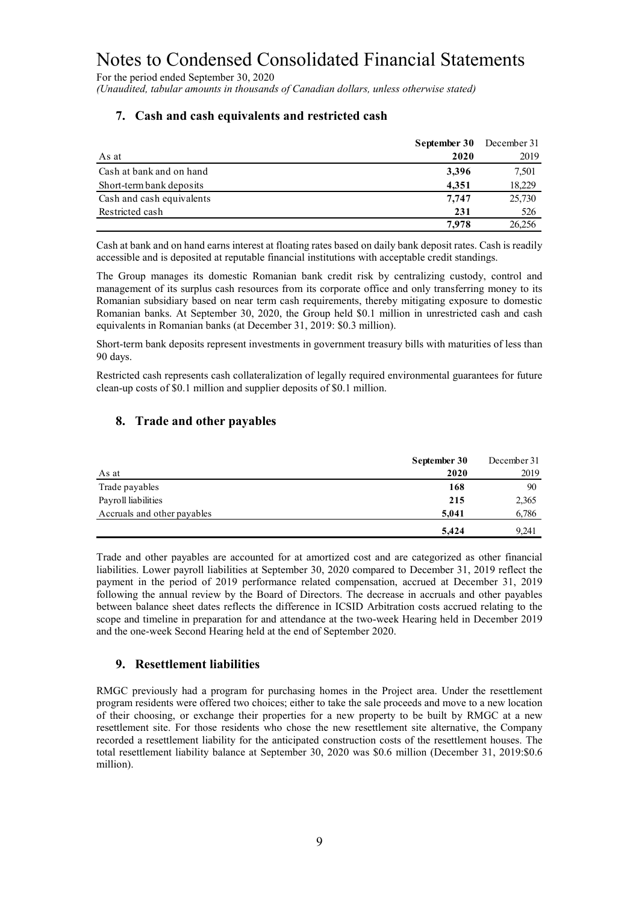For the period ended September 30, 2020 *(Unaudited, tabular amounts in thousands of Canadian dollars, unless otherwise stated)*

|                           | September 30 | December 31 |
|---------------------------|--------------|-------------|
| As at                     | 2020         | 2019        |
| Cash at bank and on hand  | 3,396        | 7,501       |
| Short-term bank deposits  | 4.351        | 18,229      |
| Cash and cash equivalents | 7.747        | 25,730      |
| Restricted cash           | 231          | 526         |
|                           | 7.978        | 26,256      |

#### **7. Cash and cash equivalents and restricted cash**

Cash at bank and on hand earns interest at floating rates based on daily bank deposit rates. Cash is readily accessible and is deposited at reputable financial institutions with acceptable credit standings.

The Group manages its domestic Romanian bank credit risk by centralizing custody, control and management of its surplus cash resources from its corporate office and only transferring money to its Romanian subsidiary based on near term cash requirements, thereby mitigating exposure to domestic Romanian banks. At September 30, 2020, the Group held \$0.1 million in unrestricted cash and cash equivalents in Romanian banks (at December 31, 2019: \$0.3 million).

Short-term bank deposits represent investments in government treasury bills with maturities of less than 90 days.

Restricted cash represents cash collateralization of legally required environmental guarantees for future clean-up costs of \$0.1 million and supplier deposits of \$0.1 million.

#### **8. Trade and other payables**

|                             | September 30 | December 31 |
|-----------------------------|--------------|-------------|
| As at                       | 2020         | 2019        |
| Trade payables              | 168          | 90          |
| Payroll liabilities         | 215          | 2,365       |
| Accruals and other payables | 5.041        | 6,786       |
|                             | 5,424        | 9.241       |

Trade and other payables are accounted for at amortized cost and are categorized as other financial liabilities. Lower payroll liabilities at September 30, 2020 compared to December 31, 2019 reflect the payment in the period of 2019 performance related compensation, accrued at December 31, 2019 following the annual review by the Board of Directors. The decrease in accruals and other payables between balance sheet dates reflects the difference in ICSID Arbitration costs accrued relating to the scope and timeline in preparation for and attendance at the two-week Hearing held in December 2019 and the one-week Second Hearing held at the end of September 2020.

#### **9. Resettlement liabilities**

RMGC previously had a program for purchasing homes in the Project area. Under the resettlement program residents were offered two choices; either to take the sale proceeds and move to a new location of their choosing, or exchange their properties for a new property to be built by RMGC at a new resettlement site. For those residents who chose the new resettlement site alternative, the Company recorded a resettlement liability for the anticipated construction costs of the resettlement houses. The total resettlement liability balance at September 30, 2020 was \$0.6 million (December 31, 2019:\$0.6 million).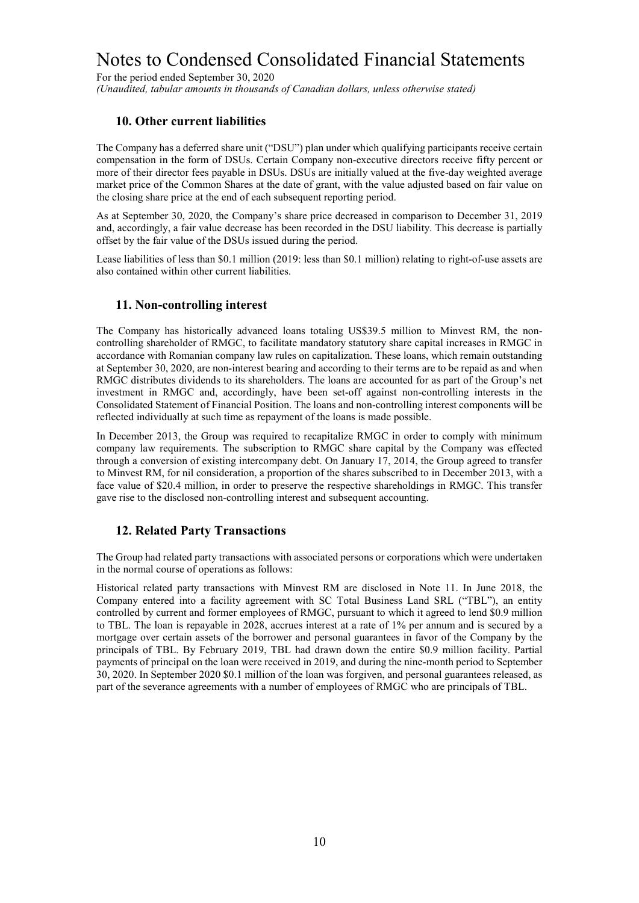For the period ended September 30, 2020 *(Unaudited, tabular amounts in thousands of Canadian dollars, unless otherwise stated)*

#### **10. Other current liabilities**

The Company has a deferred share unit ("DSU") plan under which qualifying participants receive certain compensation in the form of DSUs. Certain Company non-executive directors receive fifty percent or more of their director fees payable in DSUs. DSUs are initially valued at the five-day weighted average market price of the Common Shares at the date of grant, with the value adjusted based on fair value on the closing share price at the end of each subsequent reporting period.

As at September 30, 2020, the Company's share price decreased in comparison to December 31, 2019 and, accordingly, a fair value decrease has been recorded in the DSU liability. This decrease is partially offset by the fair value of the DSUs issued during the period.

Lease liabilities of less than \$0.1 million (2019: less than \$0.1 million) relating to right-of-use assets are also contained within other current liabilities.

#### **11. Non-controlling interest**

The Company has historically advanced loans totaling US\$39.5 million to Minvest RM, the noncontrolling shareholder of RMGC, to facilitate mandatory statutory share capital increases in RMGC in accordance with Romanian company law rules on capitalization. These loans, which remain outstanding at September 30, 2020, are non-interest bearing and according to their terms are to be repaid as and when RMGC distributes dividends to its shareholders. The loans are accounted for as part of the Group's net investment in RMGC and, accordingly, have been set-off against non-controlling interests in the Consolidated Statement of Financial Position. The loans and non-controlling interest components will be reflected individually at such time as repayment of the loans is made possible.

In December 2013, the Group was required to recapitalize RMGC in order to comply with minimum company law requirements. The subscription to RMGC share capital by the Company was effected through a conversion of existing intercompany debt. On January 17, 2014, the Group agreed to transfer to Minvest RM, for nil consideration, a proportion of the shares subscribed to in December 2013, with a face value of \$20.4 million, in order to preserve the respective shareholdings in RMGC. This transfer gave rise to the disclosed non-controlling interest and subsequent accounting.

#### **12. Related Party Transactions**

The Group had related party transactions with associated persons or corporations which were undertaken in the normal course of operations as follows:

Historical related party transactions with Minvest RM are disclosed in Note 11. In June 2018, the Company entered into a facility agreement with SC Total Business Land SRL ("TBL"), an entity controlled by current and former employees of RMGC, pursuant to which it agreed to lend \$0.9 million to TBL. The loan is repayable in 2028, accrues interest at a rate of 1% per annum and is secured by a mortgage over certain assets of the borrower and personal guarantees in favor of the Company by the principals of TBL. By February 2019, TBL had drawn down the entire \$0.9 million facility. Partial payments of principal on the loan were received in 2019, and during the nine-month period to September 30, 2020. In September 2020 \$0.1 million of the loan was forgiven, and personal guarantees released, as part of the severance agreements with a number of employees of RMGC who are principals of TBL.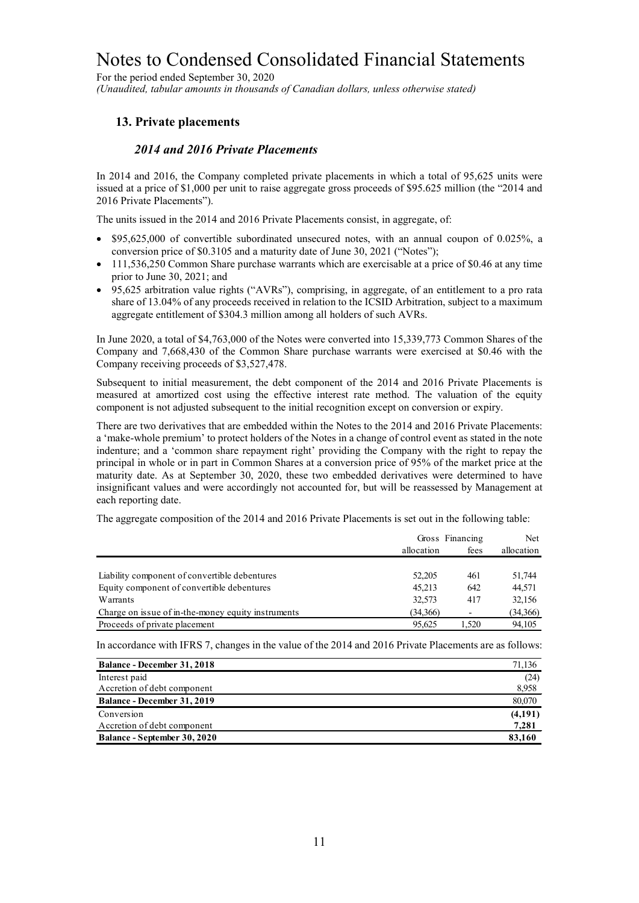For the period ended September 30, 2020 *(Unaudited, tabular amounts in thousands of Canadian dollars, unless otherwise stated)*

#### **13. Private placements**

#### *2014 and 2016 Private Placements*

In 2014 and 2016, the Company completed private placements in which a total of 95,625 units were issued at a price of \$1,000 per unit to raise aggregate gross proceeds of \$95.625 million (the "2014 and 2016 Private Placements").

The units issued in the 2014 and 2016 Private Placements consist, in aggregate, of:

- \$95,625,000 of convertible subordinated unsecured notes, with an annual coupon of 0.025%, a conversion price of \$0.3105 and a maturity date of June 30, 2021 ("Notes");
- 111,536,250 Common Share purchase warrants which are exercisable at a price of \$0.46 at any time prior to June 30, 2021; and
- 95,625 arbitration value rights ("AVRs"), comprising, in aggregate, of an entitlement to a pro rata share of 13.04% of any proceeds received in relation to the ICSID Arbitration, subject to a maximum aggregate entitlement of \$304.3 million among all holders of such AVRs.

In June 2020, a total of \$4,763,000 of the Notes were converted into 15,339,773 Common Shares of the Company and 7,668,430 of the Common Share purchase warrants were exercised at \$0.46 with the Company receiving proceeds of \$3,527,478.

Subsequent to initial measurement, the debt component of the 2014 and 2016 Private Placements is measured at amortized cost using the effective interest rate method. The valuation of the equity component is not adjusted subsequent to the initial recognition except on conversion or expiry.

There are two derivatives that are embedded within the Notes to the 2014 and 2016 Private Placements: a 'make-whole premium' to protect holders of the Notes in a change of control event as stated in the note indenture; and a 'common share repayment right' providing the Company with the right to repay the principal in whole or in part in Common Shares at a conversion price of 95% of the market price at the maturity date. As at September 30, 2020, these two embedded derivatives were determined to have insignificant values and were accordingly not accounted for, but will be reassessed by Management at each reporting date.

The aggregate composition of the 2014 and 2016 Private Placements is set out in the following table:

|                                                    | Gross Financing |       |            |
|----------------------------------------------------|-----------------|-------|------------|
|                                                    | allocation      | fees  | allocation |
|                                                    |                 |       |            |
| Liability component of convertible debentures      | 52,205          | 461   | 51,744     |
| Equity component of convertible debentures         | 45.213          | 642   | 44,571     |
| Warrants                                           | 32,573          | 417   | 32,156     |
| Charge on issue of in-the-money equity instruments | (34,366)        |       | (34,366)   |
| Proceeds of private placement                      | 95.625          | 1.520 | 94,105     |

In accordance with IFRS 7, changes in the value of the 2014 and 2016 Private Placements are as follows:

| <b>Balance - December 31, 2018</b> | 71,136  |
|------------------------------------|---------|
| Interest paid                      | (24)    |
| Accretion of debt component        | 8,958   |
| Balance - December 31, 2019        | 80,070  |
| Conversion                         | (4,191) |
| Accretion of debt component        | 7,281   |
| Balance - September 30, 2020       | 83,160  |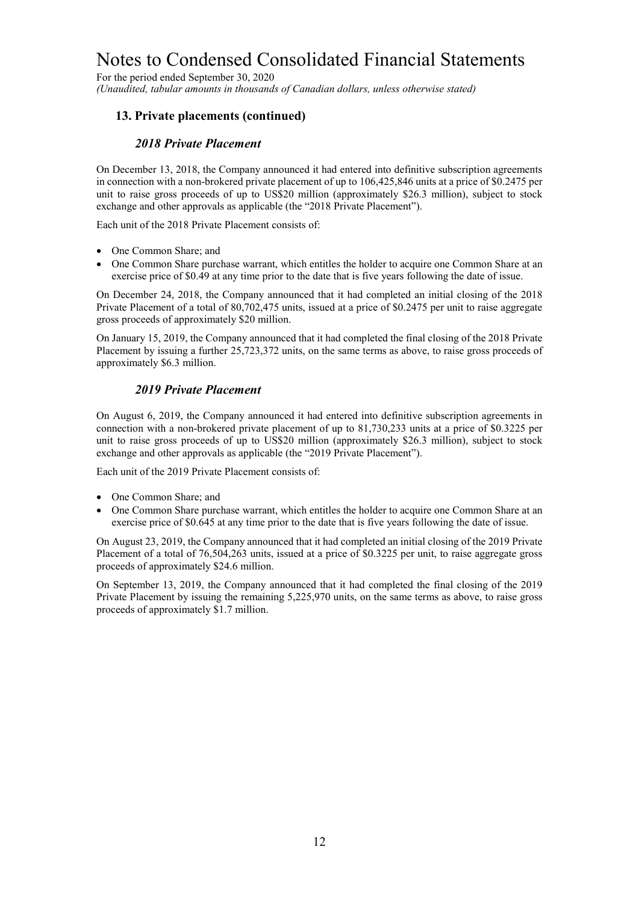For the period ended September 30, 2020 *(Unaudited, tabular amounts in thousands of Canadian dollars, unless otherwise stated)*

#### **13. Private placements (continued)**

#### *2018 Private Placement*

On December 13, 2018, the Company announced it had entered into definitive subscription agreements in connection with a non-brokered private placement of up to 106,425,846 units at a price of \$0.2475 per unit to raise gross proceeds of up to US\$20 million (approximately \$26.3 million), subject to stock exchange and other approvals as applicable (the "2018 Private Placement").

Each unit of the 2018 Private Placement consists of:

- One Common Share; and
- One Common Share purchase warrant, which entitles the holder to acquire one Common Share at an exercise price of \$0.49 at any time prior to the date that is five years following the date of issue.

On December 24, 2018, the Company announced that it had completed an initial closing of the 2018 Private Placement of a total of 80,702,475 units, issued at a price of \$0.2475 per unit to raise aggregate gross proceeds of approximately \$20 million.

On January 15, 2019, the Company announced that it had completed the final closing of the 2018 Private Placement by issuing a further 25,723,372 units, on the same terms as above, to raise gross proceeds of approximately \$6.3 million.

#### *2019 Private Placement*

On August 6, 2019, the Company announced it had entered into definitive subscription agreements in connection with a non-brokered private placement of up to 81,730,233 units at a price of \$0.3225 per unit to raise gross proceeds of up to US\$20 million (approximately \$26.3 million), subject to stock exchange and other approvals as applicable (the "2019 Private Placement").

Each unit of the 2019 Private Placement consists of:

- One Common Share; and
- One Common Share purchase warrant, which entitles the holder to acquire one Common Share at an exercise price of \$0.645 at any time prior to the date that is five years following the date of issue.

On August 23, 2019, the Company announced that it had completed an initial closing of the 2019 Private Placement of a total of 76,504,263 units, issued at a price of \$0.3225 per unit, to raise aggregate gross proceeds of approximately \$24.6 million.

On September 13, 2019, the Company announced that it had completed the final closing of the 2019 Private Placement by issuing the remaining 5,225,970 units, on the same terms as above, to raise gross proceeds of approximately \$1.7 million.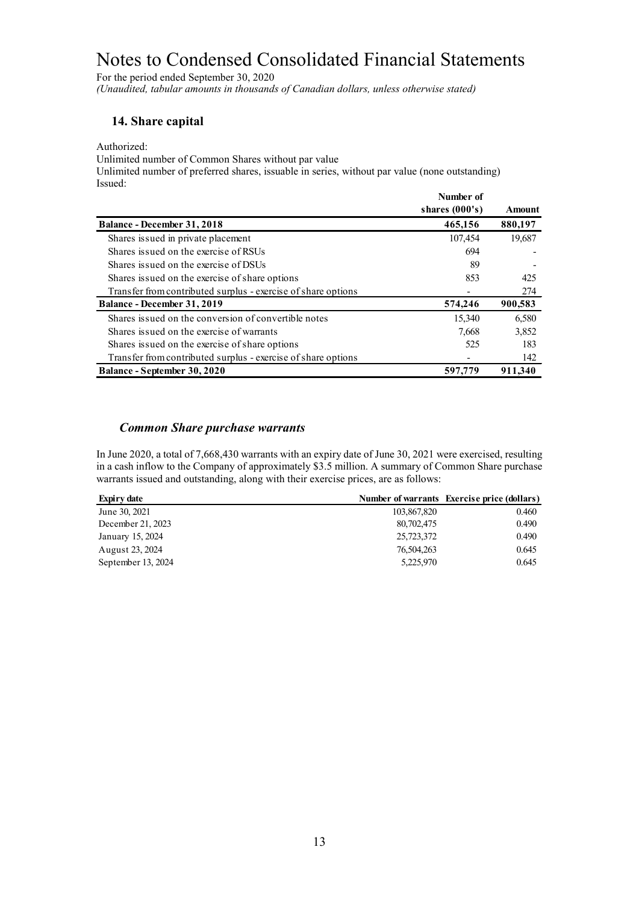For the period ended September 30, 2020 *(Unaudited, tabular amounts in thousands of Canadian dollars, unless otherwise stated)*

#### **14. Share capital**

Authorized:

Unlimited number of Common Shares without par value

Unlimited number of preferred shares, issuable in series, without par value (none outstanding) Issued:

|                                                               | Number of        |               |
|---------------------------------------------------------------|------------------|---------------|
|                                                               | shares $(000's)$ | <b>Amount</b> |
| <b>Balance - December 31, 2018</b>                            | 465,156          | 880,197       |
| Shares issued in private placement                            | 107,454          | 19,687        |
| Shares issued on the exercise of RSUs                         | 694              |               |
| Shares issued on the exercise of DSUs                         | 89               |               |
| Shares issued on the exercise of share options                | 853              | 425           |
| Transfer from contributed surplus - exercise of share options |                  | 274           |
| Balance - December 31, 2019                                   | 574,246          | 900,583       |
| Shares issued on the conversion of convertible notes          | 15,340           | 6,580         |
| Shares issued on the exercise of warrants                     | 7,668            | 3,852         |
| Shares issued on the exercise of share options                | 525              | 183           |
| Transfer from contributed surplus - exercise of share options |                  | 142           |
| Balance - September 30, 2020                                  | 597,779          | 911,340       |

#### *Common Share purchase warrants*

In June 2020, a total of 7,668,430 warrants with an expiry date of June 30, 2021 were exercised, resulting in a cash inflow to the Company of approximately \$3.5 million. A summary of Common Share purchase warrants issued and outstanding, along with their exercise prices, are as follows:

| Expiry date        |             | Number of warrants Exercise price (dollars) |
|--------------------|-------------|---------------------------------------------|
| June 30, 2021      | 103,867,820 | 0.460                                       |
| December 21, 2023  | 80,702,475  | 0.490                                       |
| January 15, 2024   | 25,723,372  | 0.490                                       |
| August 23, 2024    | 76,504,263  | 0.645                                       |
| September 13, 2024 | 5,225,970   | 0.645                                       |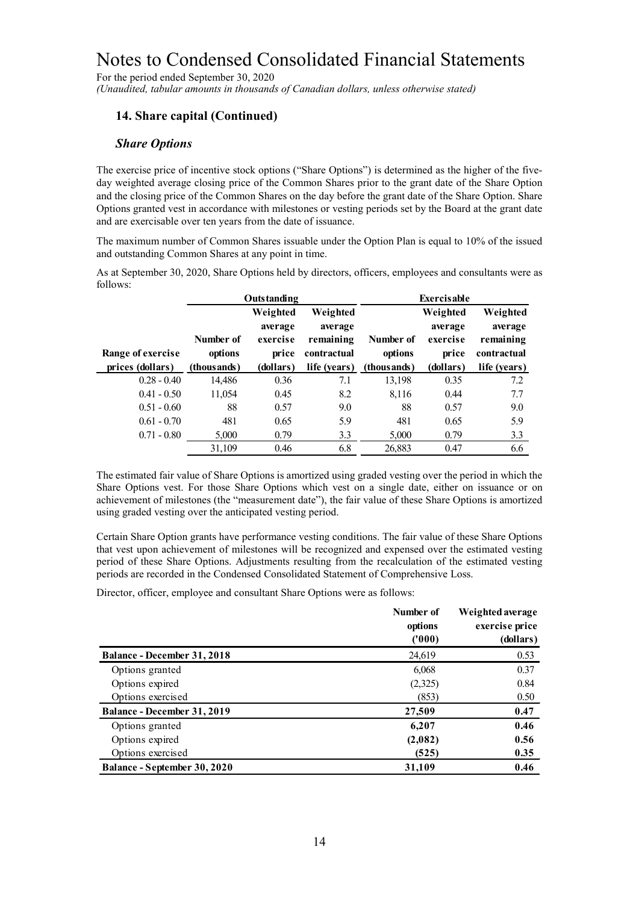For the period ended September 30, 2020 *(Unaudited, tabular amounts in thousands of Canadian dollars, unless otherwise stated)*

### **14. Share capital (Continued)**

#### *Share Options*

The exercise price of incentive stock options ("Share Options") is determined as the higher of the fiveday weighted average closing price of the Common Shares prior to the grant date of the Share Option and the closing price of the Common Shares on the day before the grant date of the Share Option. Share Options granted vest in accordance with milestones or vesting periods set by the Board at the grant date and are exercisable over ten years from the date of issuance.

The maximum number of Common Shares issuable under the Option Plan is equal to 10% of the issued and outstanding Common Shares at any point in time.

As at September 30, 2020, Share Options held by directors, officers, employees and consultants were as follows:

|                   | Outstanding |           |              | <b>Exercisable</b> |           |              |
|-------------------|-------------|-----------|--------------|--------------------|-----------|--------------|
|                   |             | Weighted  | Weighted     |                    | Weighted  | Weighted     |
|                   |             | average   | average      |                    | average   | average      |
|                   | Number of   | exercise  | remaining    | Number of          | exercise  | remaining    |
| Range of exercise | options     | price     | contractual  | options            | price     | contractual  |
| prices (dollars)  | (thousands) | (dollars) | life (years) | (thous ands)       | (dollars) | life (years) |
| $0.28 - 0.40$     | 14,486      | 0.36      | 7.1          | 13,198             | 0.35      | 7.2          |
| $0.41 - 0.50$     | 11.054      | 0.45      | 8.2          | 8.116              | 0.44      | 7.7          |
| $0.51 - 0.60$     | 88          | 0.57      | 9.0          | 88                 | 0.57      | 9.0          |
| $0.61 - 0.70$     | 481         | 0.65      | 5.9          | 481                | 0.65      | 5.9          |
| $0.71 - 0.80$     | 5,000       | 0.79      | 3.3          | 5,000              | 0.79      | 3.3          |
|                   | 31,109      | 0.46      | 6.8          | 26,883             | 0.47      | 6.6          |

The estimated fair value of Share Options is amortized using graded vesting over the period in which the Share Options vest. For those Share Options which vest on a single date, either on issuance or on achievement of milestones (the "measurement date"), the fair value of these Share Options is amortized using graded vesting over the anticipated vesting period.

Certain Share Option grants have performance vesting conditions. The fair value of these Share Options that vest upon achievement of milestones will be recognized and expensed over the estimated vesting period of these Share Options. Adjustments resulting from the recalculation of the estimated vesting periods are recorded in the Condensed Consolidated Statement of Comprehensive Loss.

Director, officer, employee and consultant Share Options were as follows:

|                              | Number of<br>options<br>(1000) | Weighted average<br>exercise price<br>(dollars) |
|------------------------------|--------------------------------|-------------------------------------------------|
| Balance - December 31, 2018  | 24,619                         | 0.53                                            |
| Options granted              | 6,068                          | 0.37                                            |
| Options expired              | (2,325)                        | 0.84                                            |
| Options exercised            | (853)                          | 0.50                                            |
| Balance - December 31, 2019  | 27,509                         | 0.47                                            |
| Options granted              | 6,207                          | 0.46                                            |
| Options expired              | (2,082)                        | 0.56                                            |
| Options exercised            | (525)                          | 0.35                                            |
| Balance - September 30, 2020 | 31,109                         | 0.46                                            |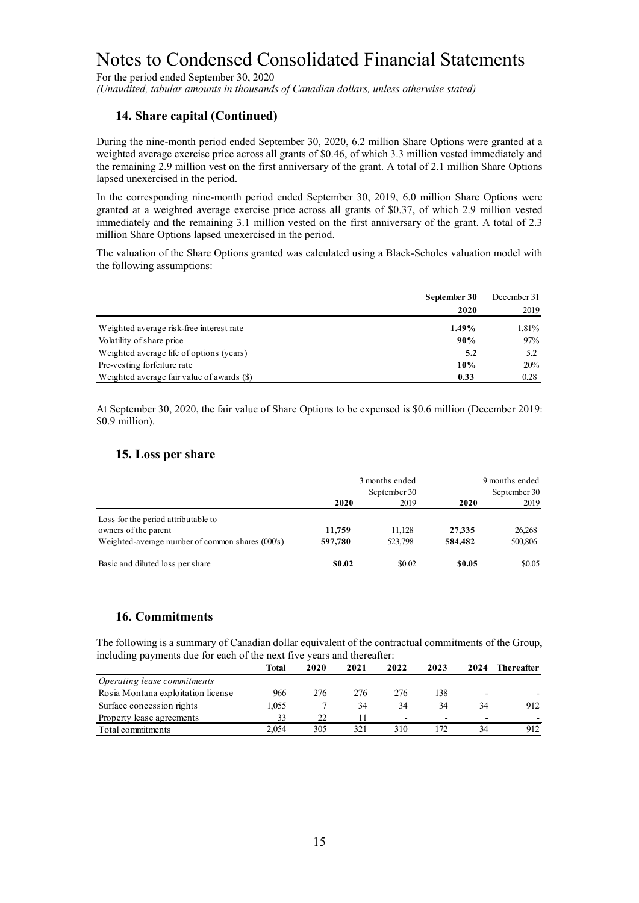For the period ended September 30, 2020

*(Unaudited, tabular amounts in thousands of Canadian dollars, unless otherwise stated)*

#### **14. Share capital (Continued)**

During the nine-month period ended September 30, 2020, 6.2 million Share Options were granted at a weighted average exercise price across all grants of \$0.46, of which 3.3 million vested immediately and the remaining 2.9 million vest on the first anniversary of the grant. A total of 2.1 million Share Options lapsed unexercised in the period.

In the corresponding nine-month period ended September 30, 2019, 6.0 million Share Options were granted at a weighted average exercise price across all grants of \$0.37, of which 2.9 million vested immediately and the remaining 3.1 million vested on the first anniversary of the grant. A total of 2.3 million Share Options lapsed unexercised in the period.

The valuation of the Share Options granted was calculated using a Black-Scholes valuation model with the following assumptions:

|                                            | September 30 | December 31 |
|--------------------------------------------|--------------|-------------|
|                                            | 2020         | 2019        |
| Weighted average risk-free interest rate   | 1.49%        | 1.81%       |
| Volatility of share price                  | 90%          | 97%         |
| Weighted average life of options (years)   | 5.2          | 5.2         |
| Pre-vesting forfeiture rate                | 10%          | 20%         |
| Weighted average fair value of awards (\$) | 0.33         | 0.28        |

At September 30, 2020, the fair value of Share Options to be expensed is \$0.6 million (December 2019: \$0.9 million).

#### **15. Loss per share**

|                                                  | 3 months ended<br>September 30 |         | 9 months ended<br>September 30 |         |  |
|--------------------------------------------------|--------------------------------|---------|--------------------------------|---------|--|
|                                                  | 2020                           | 2019    | 2020                           | 2019    |  |
| Loss for the period attributable to              |                                |         |                                |         |  |
| owners of the parent                             | 11,759                         | 11.128  | 27,335                         | 26,268  |  |
| Weighted-average number of common shares (000's) | 597,780                        | 523,798 | 584,482                        | 500,806 |  |
| Basic and diluted loss per share                 | \$0.02                         | \$0.02  | \$0.05                         | \$0.05  |  |

#### **16. Commitments**

The following is a summary of Canadian dollar equivalent of the contractual commitments of the Group, including payments due for each of the next five years and thereafter:

|                                    | Total | 2020 | 2021 | 2022                     | 2023                     | 2024                     | <b>Thereafter</b> |
|------------------------------------|-------|------|------|--------------------------|--------------------------|--------------------------|-------------------|
| Operating lease commitments        |       |      |      |                          |                          |                          |                   |
| Rosia Montana exploitation license | 966   | 276  | 276  | 276                      | 138                      | $\overline{\phantom{0}}$ |                   |
| Surface concession rights          | 1.055 |      | 34   | 34                       | 34                       | 34                       | 912               |
| Property lease agreements          | 33    | 22   |      | $\overline{\phantom{0}}$ | $\overline{\phantom{0}}$ | $\overline{\phantom{0}}$ |                   |
| Total commitments                  | 2.054 | 305  | 321  | 310                      | 172                      |                          | 912               |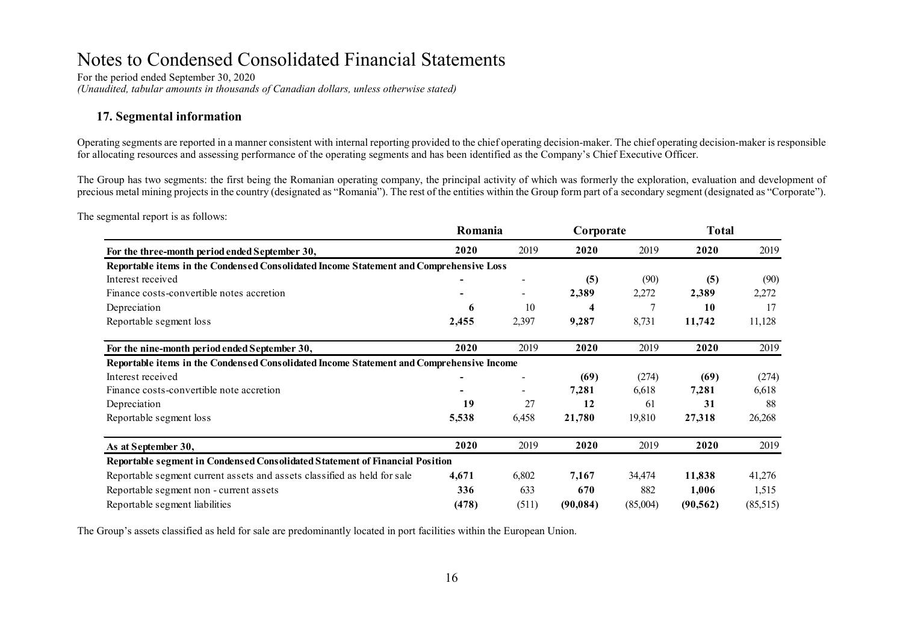For the period ended September 30, 2020 *(Unaudited, tabular amounts in thousands of Canadian dollars, unless otherwise stated)*

#### **17. Segmental information**

Operating segments are reported in a manner consistent with internal reporting provided to the chief operating decision-maker. The chief operating decision-maker is responsible for allocating resources and assessing performance of the operating segments and has been identified as the Company's Chief Executive Officer.

The Group has two segments: the first being the Romanian operating company, the principal activity of which was formerly the exploration, evaluation and development of precious metal mining projects in the country (designated as "Romania"). The rest of the entities within the Group form part of a secondary segment (designated as "Corporate").

The segmental report is as follows:

|                                                                                          | Romania |                | Corporate |          | <b>Total</b> |          |
|------------------------------------------------------------------------------------------|---------|----------------|-----------|----------|--------------|----------|
| For the three-month period ended September 30,                                           | 2020    | 2019           | 2020      | 2019     | 2020         | 2019     |
| Reportable items in the Condensed Consolidated Income Statement and Comprehensive Loss   |         |                |           |          |              |          |
| Interest received                                                                        |         | $\overline{a}$ | (5)       | (90)     | (5)          | (90)     |
| Finance costs-convertible notes accretion                                                |         |                | 2,389     | 2,272    | 2,389        | 2,272    |
| Depreciation                                                                             | 6       | 10             | 4         |          | 10           | 17       |
| Reportable segment loss                                                                  | 2,455   | 2,397          | 9,287     | 8,731    | 11,742       | 11,128   |
| For the nine-month period ended September 30,                                            | 2020    | 2019           | 2020      | 2019     | 2020         | 2019     |
| Reportable items in the Condensed Consolidated Income Statement and Comprehensive Income |         |                |           |          |              |          |
| Interest received                                                                        |         |                | (69)      | (274)    | (69)         | (274)    |
| Finance costs-convertible note accretion                                                 |         |                | 7,281     | 6,618    | 7,281        | 6,618    |
| Depreciation                                                                             | 19      | 27             | 12        | -61      | 31           | 88       |
| Reportable segment loss                                                                  | 5,538   | 6,458          | 21,780    | 19,810   | 27,318       | 26,268   |
| As at September 30,                                                                      | 2020    | 2019           | 2020      | 2019     | 2020         | 2019     |
| Reportable segment in Condensed Consolidated Statement of Financial Position             |         |                |           |          |              |          |
| Reportable segment current assets and assets classified as held for sale                 | 4,671   | 6,802          | 7,167     | 34,474   | 11,838       | 41,276   |
| Reportable segment non - current assets                                                  | 336     | 633            | 670       | 882      | 1,006        | 1,515    |
| Reportable segment liabilities                                                           | (478)   | (511)          | (90, 084) | (85,004) | (90, 562)    | (85,515) |

The Group's assets classified as held for sale are predominantly located in port facilities within the European Union.